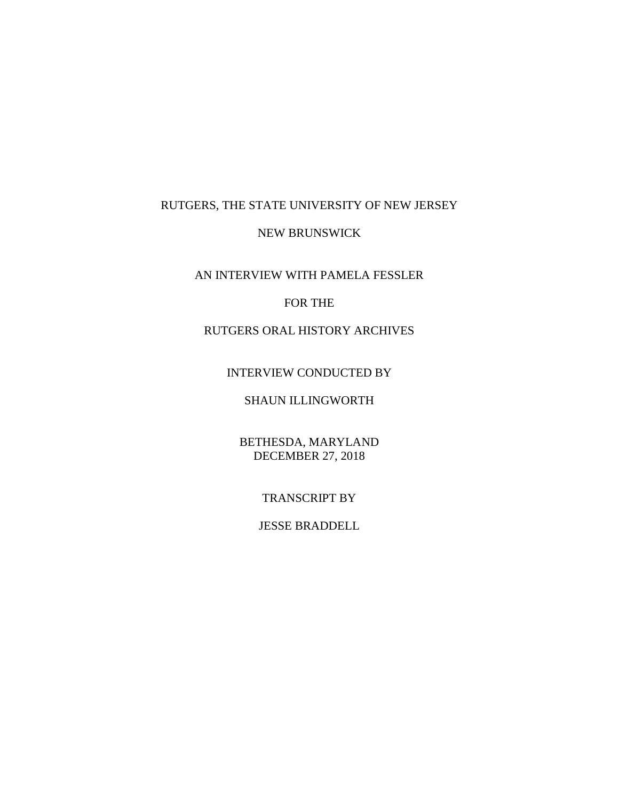# RUTGERS, THE STATE UNIVERSITY OF NEW JERSEY

### NEW BRUNSWICK

# AN INTERVIEW WITH PAMELA FESSLER

## FOR THE

# RUTGERS ORAL HISTORY ARCHIVES

## INTERVIEW CONDUCTED BY

# SHAUN ILLINGWORTH

# BETHESDA, MARYLAND DECEMBER 27, 2018

## TRANSCRIPT BY

## JESSE BRADDELL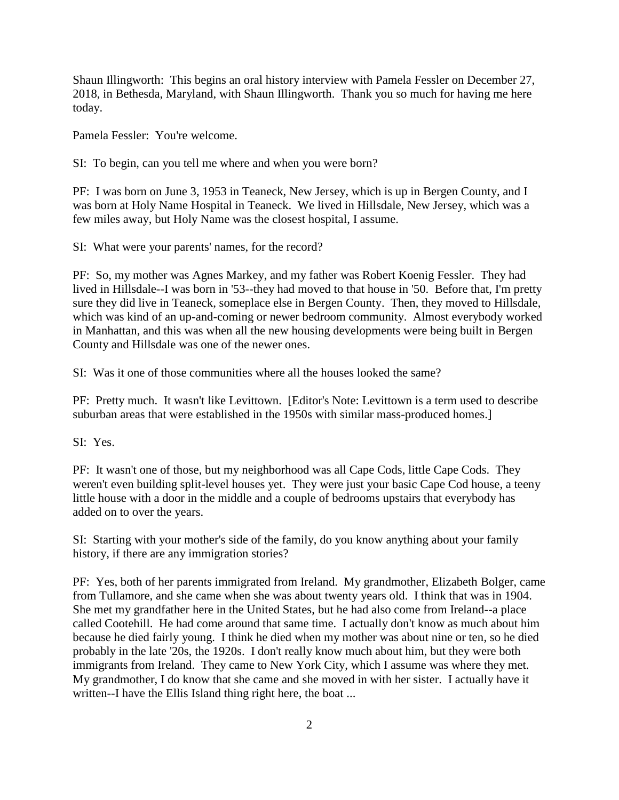Shaun Illingworth: This begins an oral history interview with Pamela Fessler on December 27, 2018, in Bethesda, Maryland, with Shaun Illingworth. Thank you so much for having me here today.

Pamela Fessler: You're welcome.

SI: To begin, can you tell me where and when you were born?

PF: I was born on June 3, 1953 in Teaneck, New Jersey, which is up in Bergen County, and I was born at Holy Name Hospital in Teaneck. We lived in Hillsdale, New Jersey, which was a few miles away, but Holy Name was the closest hospital, I assume.

SI: What were your parents' names, for the record?

PF: So, my mother was Agnes Markey, and my father was Robert Koenig Fessler. They had lived in Hillsdale--I was born in '53--they had moved to that house in '50. Before that, I'm pretty sure they did live in Teaneck, someplace else in Bergen County. Then, they moved to Hillsdale, which was kind of an up-and-coming or newer bedroom community. Almost everybody worked in Manhattan, and this was when all the new housing developments were being built in Bergen County and Hillsdale was one of the newer ones.

SI: Was it one of those communities where all the houses looked the same?

PF: Pretty much. It wasn't like Levittown. [Editor's Note: Levittown is a term used to describe suburban areas that were established in the 1950s with similar mass-produced homes.]

SI: Yes.

PF: It wasn't one of those, but my neighborhood was all Cape Cods, little Cape Cods. They weren't even building split-level houses yet. They were just your basic Cape Cod house, a teeny little house with a door in the middle and a couple of bedrooms upstairs that everybody has added on to over the years.

SI: Starting with your mother's side of the family, do you know anything about your family history, if there are any immigration stories?

PF: Yes, both of her parents immigrated from Ireland. My grandmother, Elizabeth Bolger, came from Tullamore, and she came when she was about twenty years old. I think that was in 1904. She met my grandfather here in the United States, but he had also come from Ireland--a place called Cootehill. He had come around that same time. I actually don't know as much about him because he died fairly young. I think he died when my mother was about nine or ten, so he died probably in the late '20s, the 1920s. I don't really know much about him, but they were both immigrants from Ireland. They came to New York City, which I assume was where they met. My grandmother, I do know that she came and she moved in with her sister. I actually have it written--I have the Ellis Island thing right here, the boat ...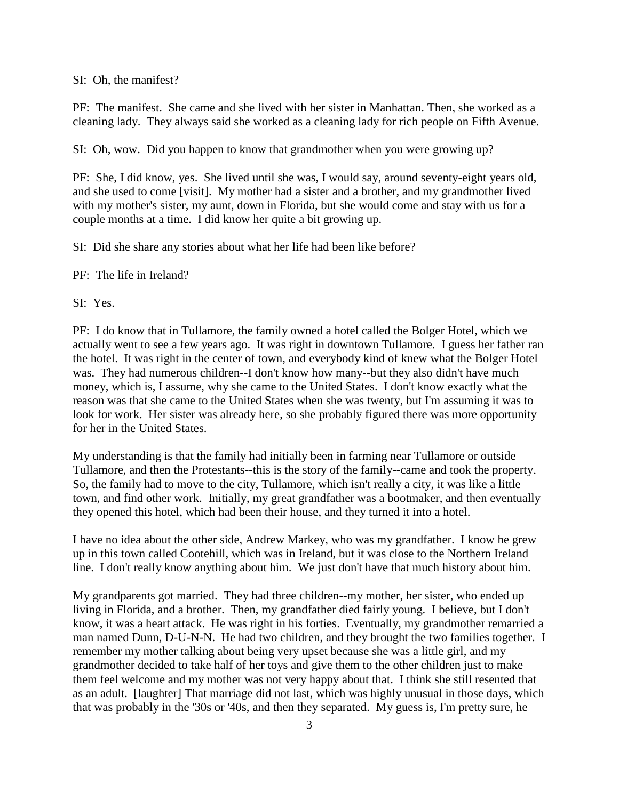SI: Oh, the manifest?

PF: The manifest. She came and she lived with her sister in Manhattan. Then, she worked as a cleaning lady. They always said she worked as a cleaning lady for rich people on Fifth Avenue.

SI: Oh, wow. Did you happen to know that grandmother when you were growing up?

PF: She, I did know, yes. She lived until she was, I would say, around seventy-eight years old, and she used to come [visit]. My mother had a sister and a brother, and my grandmother lived with my mother's sister, my aunt, down in Florida, but she would come and stay with us for a couple months at a time. I did know her quite a bit growing up.

SI: Did she share any stories about what her life had been like before?

PF: The life in Ireland?

SI: Yes.

PF: I do know that in Tullamore, the family owned a hotel called the Bolger Hotel, which we actually went to see a few years ago. It was right in downtown Tullamore. I guess her father ran the hotel. It was right in the center of town, and everybody kind of knew what the Bolger Hotel was. They had numerous children--I don't know how many--but they also didn't have much money, which is, I assume, why she came to the United States. I don't know exactly what the reason was that she came to the United States when she was twenty, but I'm assuming it was to look for work. Her sister was already here, so she probably figured there was more opportunity for her in the United States.

My understanding is that the family had initially been in farming near Tullamore or outside Tullamore, and then the Protestants--this is the story of the family--came and took the property. So, the family had to move to the city, Tullamore, which isn't really a city, it was like a little town, and find other work. Initially, my great grandfather was a bootmaker, and then eventually they opened this hotel, which had been their house, and they turned it into a hotel.

I have no idea about the other side, Andrew Markey, who was my grandfather. I know he grew up in this town called Cootehill, which was in Ireland, but it was close to the Northern Ireland line. I don't really know anything about him. We just don't have that much history about him.

My grandparents got married. They had three children--my mother, her sister, who ended up living in Florida, and a brother. Then, my grandfather died fairly young. I believe, but I don't know, it was a heart attack. He was right in his forties. Eventually, my grandmother remarried a man named Dunn, D-U-N-N. He had two children, and they brought the two families together. I remember my mother talking about being very upset because she was a little girl, and my grandmother decided to take half of her toys and give them to the other children just to make them feel welcome and my mother was not very happy about that. I think she still resented that as an adult. [laughter] That marriage did not last, which was highly unusual in those days, which that was probably in the '30s or '40s, and then they separated. My guess is, I'm pretty sure, he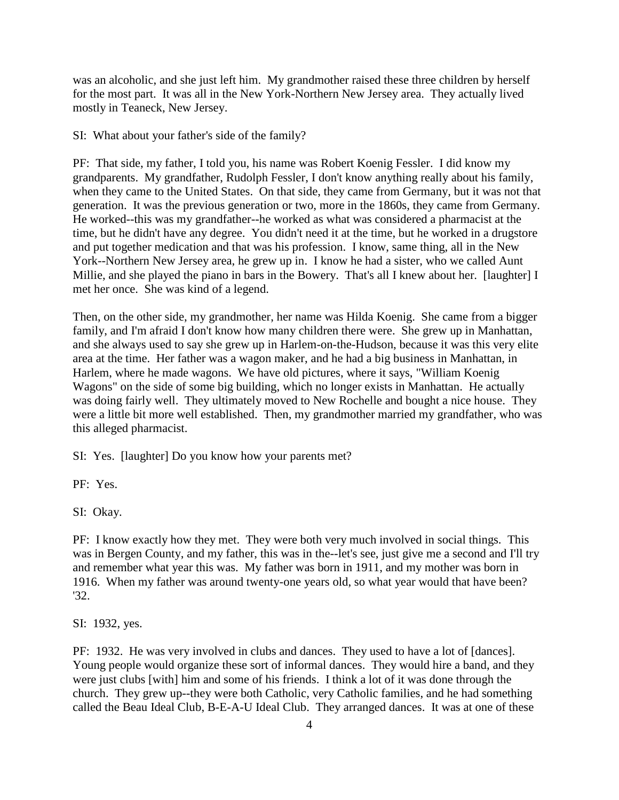was an alcoholic, and she just left him. My grandmother raised these three children by herself for the most part. It was all in the New York-Northern New Jersey area. They actually lived mostly in Teaneck, New Jersey.

SI: What about your father's side of the family?

PF: That side, my father, I told you, his name was Robert Koenig Fessler. I did know my grandparents. My grandfather, Rudolph Fessler, I don't know anything really about his family, when they came to the United States. On that side, they came from Germany, but it was not that generation. It was the previous generation or two, more in the 1860s, they came from Germany. He worked--this was my grandfather--he worked as what was considered a pharmacist at the time, but he didn't have any degree. You didn't need it at the time, but he worked in a drugstore and put together medication and that was his profession. I know, same thing, all in the New York--Northern New Jersey area, he grew up in. I know he had a sister, who we called Aunt Millie, and she played the piano in bars in the Bowery. That's all I knew about her. [laughter] I met her once. She was kind of a legend.

Then, on the other side, my grandmother, her name was Hilda Koenig. She came from a bigger family, and I'm afraid I don't know how many children there were. She grew up in Manhattan, and she always used to say she grew up in Harlem-on-the-Hudson, because it was this very elite area at the time. Her father was a wagon maker, and he had a big business in Manhattan, in Harlem, where he made wagons. We have old pictures, where it says, "William Koenig Wagons" on the side of some big building, which no longer exists in Manhattan. He actually was doing fairly well. They ultimately moved to New Rochelle and bought a nice house. They were a little bit more well established. Then, my grandmother married my grandfather, who was this alleged pharmacist.

SI: Yes. [laughter] Do you know how your parents met?

PF: Yes.

SI: Okay.

PF: I know exactly how they met. They were both very much involved in social things. This was in Bergen County, and my father, this was in the--let's see, just give me a second and I'll try and remember what year this was. My father was born in 1911, and my mother was born in 1916. When my father was around twenty-one years old, so what year would that have been? '32.

SI: 1932, yes.

PF: 1932. He was very involved in clubs and dances. They used to have a lot of [dances]. Young people would organize these sort of informal dances. They would hire a band, and they were just clubs [with] him and some of his friends. I think a lot of it was done through the church. They grew up--they were both Catholic, very Catholic families, and he had something called the Beau Ideal Club, B-E-A-U Ideal Club. They arranged dances. It was at one of these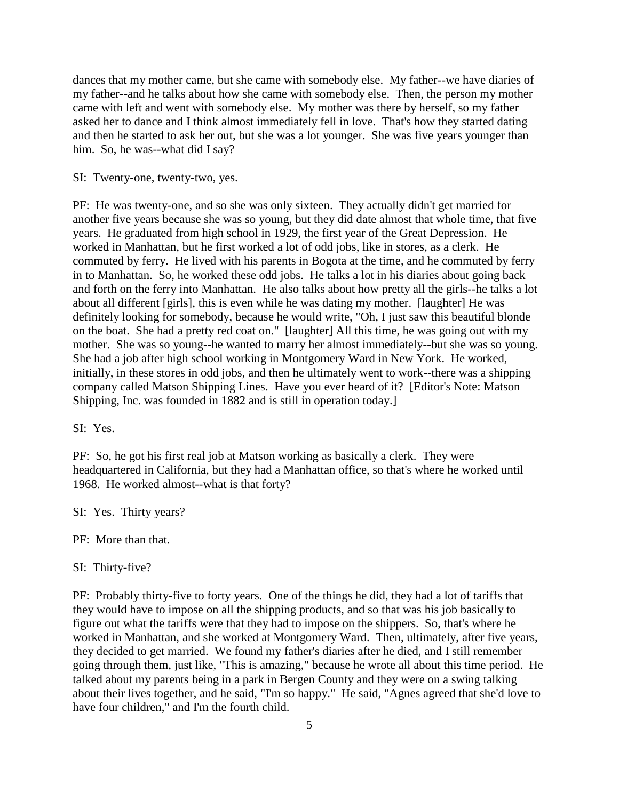dances that my mother came, but she came with somebody else. My father--we have diaries of my father--and he talks about how she came with somebody else. Then, the person my mother came with left and went with somebody else. My mother was there by herself, so my father asked her to dance and I think almost immediately fell in love. That's how they started dating and then he started to ask her out, but she was a lot younger. She was five years younger than him. So, he was--what did I say?

### SI: Twenty-one, twenty-two, yes.

PF: He was twenty-one, and so she was only sixteen. They actually didn't get married for another five years because she was so young, but they did date almost that whole time, that five years. He graduated from high school in 1929, the first year of the Great Depression. He worked in Manhattan, but he first worked a lot of odd jobs, like in stores, as a clerk. He commuted by ferry. He lived with his parents in Bogota at the time, and he commuted by ferry in to Manhattan. So, he worked these odd jobs. He talks a lot in his diaries about going back and forth on the ferry into Manhattan. He also talks about how pretty all the girls--he talks a lot about all different [girls], this is even while he was dating my mother. [laughter] He was definitely looking for somebody, because he would write, "Oh, I just saw this beautiful blonde on the boat. She had a pretty red coat on." [laughter] All this time, he was going out with my mother. She was so young--he wanted to marry her almost immediately--but she was so young. She had a job after high school working in Montgomery Ward in New York. He worked, initially, in these stores in odd jobs, and then he ultimately went to work--there was a shipping company called Matson Shipping Lines. Have you ever heard of it? [Editor's Note: Matson Shipping, Inc. was founded in 1882 and is still in operation today.]

SI: Yes.

PF: So, he got his first real job at Matson working as basically a clerk. They were headquartered in California, but they had a Manhattan office, so that's where he worked until 1968. He worked almost--what is that forty?

SI: Yes. Thirty years?

PF: More than that.

SI: Thirty-five?

PF: Probably thirty-five to forty years. One of the things he did, they had a lot of tariffs that they would have to impose on all the shipping products, and so that was his job basically to figure out what the tariffs were that they had to impose on the shippers. So, that's where he worked in Manhattan, and she worked at Montgomery Ward. Then, ultimately, after five years, they decided to get married. We found my father's diaries after he died, and I still remember going through them, just like, "This is amazing," because he wrote all about this time period. He talked about my parents being in a park in Bergen County and they were on a swing talking about their lives together, and he said, "I'm so happy." He said, "Agnes agreed that she'd love to have four children," and I'm the fourth child.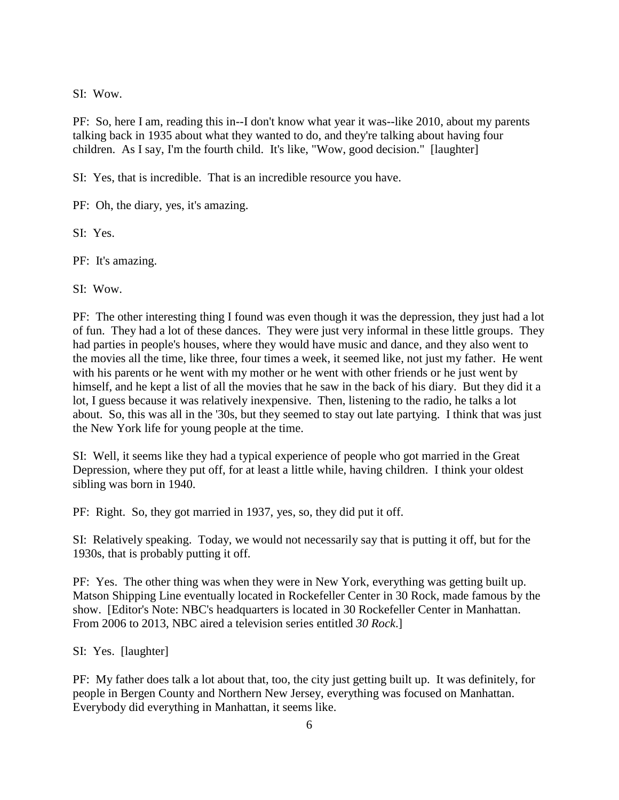SI: Wow.

PF: So, here I am, reading this in--I don't know what year it was--like 2010, about my parents talking back in 1935 about what they wanted to do, and they're talking about having four children. As I say, I'm the fourth child. It's like, "Wow, good decision." [laughter]

SI: Yes, that is incredible. That is an incredible resource you have.

PF: Oh, the diary, yes, it's amazing.

SI: Yes.

PF: It's amazing.

SI: Wow.

PF: The other interesting thing I found was even though it was the depression, they just had a lot of fun. They had a lot of these dances. They were just very informal in these little groups. They had parties in people's houses, where they would have music and dance, and they also went to the movies all the time, like three, four times a week, it seemed like, not just my father. He went with his parents or he went with my mother or he went with other friends or he just went by himself, and he kept a list of all the movies that he saw in the back of his diary. But they did it a lot, I guess because it was relatively inexpensive. Then, listening to the radio, he talks a lot about. So, this was all in the '30s, but they seemed to stay out late partying. I think that was just the New York life for young people at the time.

SI: Well, it seems like they had a typical experience of people who got married in the Great Depression, where they put off, for at least a little while, having children. I think your oldest sibling was born in 1940.

PF: Right. So, they got married in 1937, yes, so, they did put it off.

SI: Relatively speaking. Today, we would not necessarily say that is putting it off, but for the 1930s, that is probably putting it off.

PF: Yes. The other thing was when they were in New York, everything was getting built up. Matson Shipping Line eventually located in Rockefeller Center in 30 Rock, made famous by the show. [Editor's Note: NBC's headquarters is located in 30 Rockefeller Center in Manhattan. From 2006 to 2013, NBC aired a television series entitled *30 Rock*.]

SI: Yes. [laughter]

PF: My father does talk a lot about that, too, the city just getting built up. It was definitely, for people in Bergen County and Northern New Jersey, everything was focused on Manhattan. Everybody did everything in Manhattan, it seems like.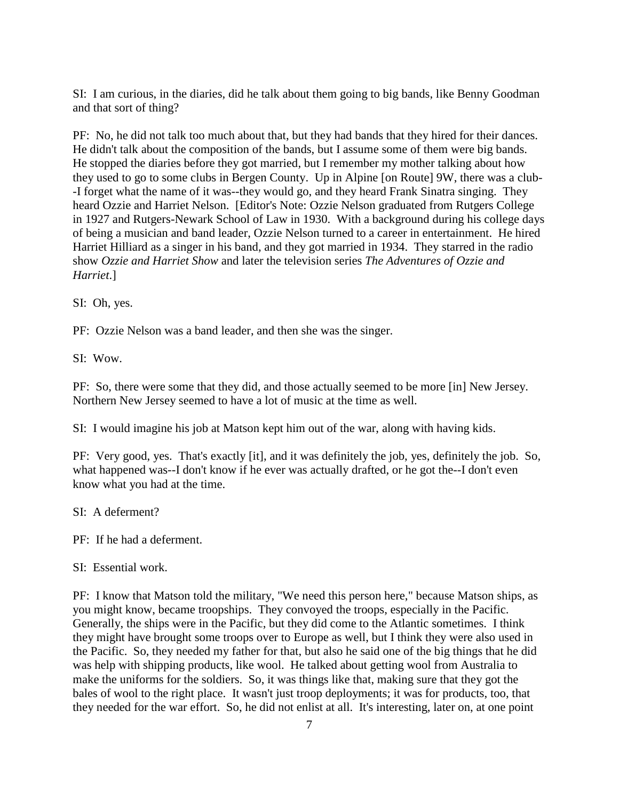SI: I am curious, in the diaries, did he talk about them going to big bands, like Benny Goodman and that sort of thing?

PF: No, he did not talk too much about that, but they had bands that they hired for their dances. He didn't talk about the composition of the bands, but I assume some of them were big bands. He stopped the diaries before they got married, but I remember my mother talking about how they used to go to some clubs in Bergen County. Up in Alpine [on Route] 9W, there was a club- -I forget what the name of it was--they would go, and they heard Frank Sinatra singing. They heard Ozzie and Harriet Nelson. [Editor's Note: Ozzie Nelson graduated from Rutgers College in 1927 and Rutgers-Newark School of Law in 1930. With a background during his college days of being a musician and band leader, Ozzie Nelson turned to a career in entertainment. He hired Harriet Hilliard as a singer in his band, and they got married in 1934. They starred in the radio show *Ozzie and Harriet Show* and later the television series *The Adventures of Ozzie and Harriet*.]

SI: Oh, yes.

PF: Ozzie Nelson was a band leader, and then she was the singer.

SI: Wow.

PF: So, there were some that they did, and those actually seemed to be more [in] New Jersey. Northern New Jersey seemed to have a lot of music at the time as well.

SI: I would imagine his job at Matson kept him out of the war, along with having kids.

PF: Very good, yes. That's exactly [it], and it was definitely the job, yes, definitely the job. So, what happened was--I don't know if he ever was actually drafted, or he got the--I don't even know what you had at the time.

SI: A deferment?

PF: If he had a deferment.

SI: Essential work.

PF: I know that Matson told the military, "We need this person here," because Matson ships, as you might know, became troopships. They convoyed the troops, especially in the Pacific. Generally, the ships were in the Pacific, but they did come to the Atlantic sometimes. I think they might have brought some troops over to Europe as well, but I think they were also used in the Pacific. So, they needed my father for that, but also he said one of the big things that he did was help with shipping products, like wool. He talked about getting wool from Australia to make the uniforms for the soldiers. So, it was things like that, making sure that they got the bales of wool to the right place. It wasn't just troop deployments; it was for products, too, that they needed for the war effort. So, he did not enlist at all. It's interesting, later on, at one point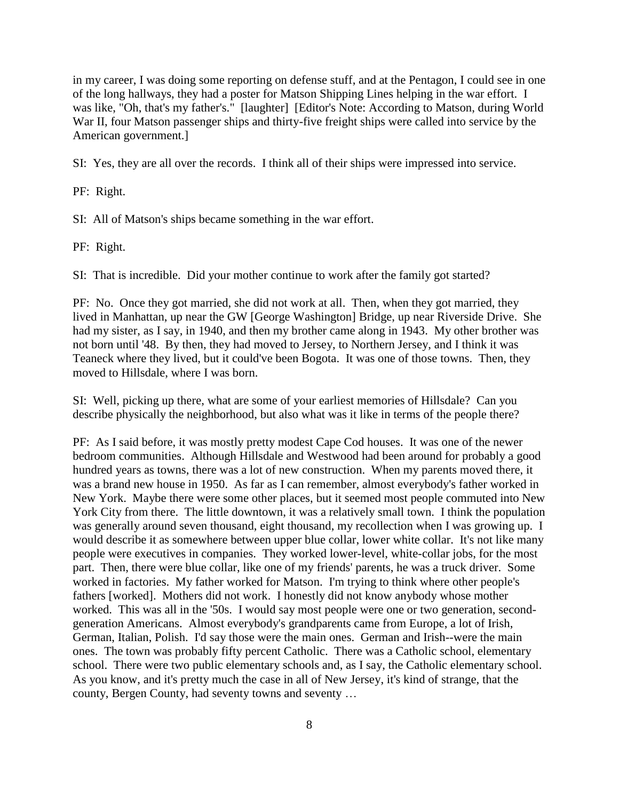in my career, I was doing some reporting on defense stuff, and at the Pentagon, I could see in one of the long hallways, they had a poster for Matson Shipping Lines helping in the war effort. I was like, "Oh, that's my father's." [laughter] [Editor's Note: According to Matson, during World War II, four Matson passenger ships and thirty-five freight ships were called into service by the American government.]

SI: Yes, they are all over the records. I think all of their ships were impressed into service.

PF: Right.

SI: All of Matson's ships became something in the war effort.

PF: Right.

SI: That is incredible. Did your mother continue to work after the family got started?

PF: No. Once they got married, she did not work at all. Then, when they got married, they lived in Manhattan, up near the GW [George Washington] Bridge, up near Riverside Drive. She had my sister, as I say, in 1940, and then my brother came along in 1943. My other brother was not born until '48. By then, they had moved to Jersey, to Northern Jersey, and I think it was Teaneck where they lived, but it could've been Bogota. It was one of those towns. Then, they moved to Hillsdale, where I was born.

SI: Well, picking up there, what are some of your earliest memories of Hillsdale? Can you describe physically the neighborhood, but also what was it like in terms of the people there?

PF: As I said before, it was mostly pretty modest Cape Cod houses. It was one of the newer bedroom communities. Although Hillsdale and Westwood had been around for probably a good hundred years as towns, there was a lot of new construction. When my parents moved there, it was a brand new house in 1950. As far as I can remember, almost everybody's father worked in New York. Maybe there were some other places, but it seemed most people commuted into New York City from there. The little downtown, it was a relatively small town. I think the population was generally around seven thousand, eight thousand, my recollection when I was growing up. I would describe it as somewhere between upper blue collar, lower white collar. It's not like many people were executives in companies. They worked lower-level, white-collar jobs, for the most part. Then, there were blue collar, like one of my friends' parents, he was a truck driver. Some worked in factories. My father worked for Matson. I'm trying to think where other people's fathers [worked]. Mothers did not work. I honestly did not know anybody whose mother worked. This was all in the '50s. I would say most people were one or two generation, secondgeneration Americans. Almost everybody's grandparents came from Europe, a lot of Irish, German, Italian, Polish. I'd say those were the main ones. German and Irish--were the main ones. The town was probably fifty percent Catholic. There was a Catholic school, elementary school. There were two public elementary schools and, as I say, the Catholic elementary school. As you know, and it's pretty much the case in all of New Jersey, it's kind of strange, that the county, Bergen County, had seventy towns and seventy …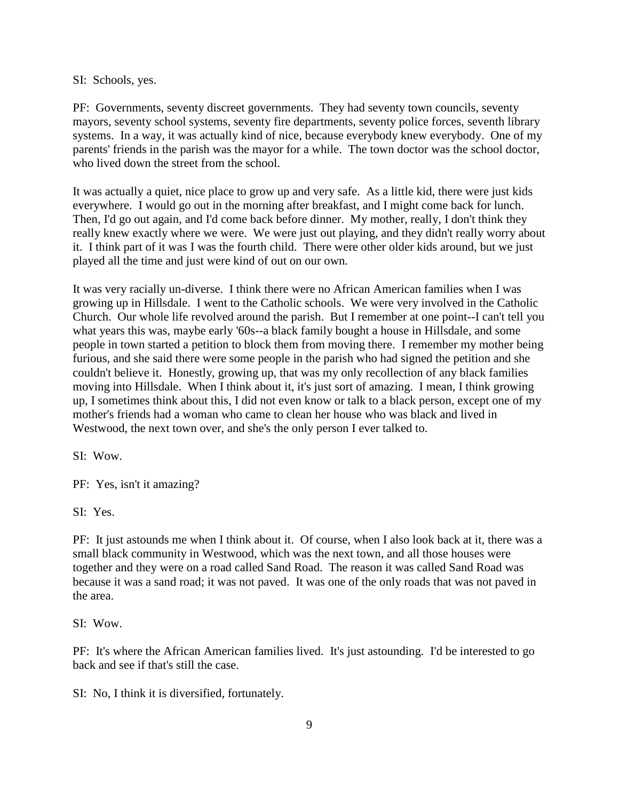### SI: Schools, yes.

PF: Governments, seventy discreet governments. They had seventy town councils, seventy mayors, seventy school systems, seventy fire departments, seventy police forces, seventh library systems. In a way, it was actually kind of nice, because everybody knew everybody. One of my parents' friends in the parish was the mayor for a while. The town doctor was the school doctor, who lived down the street from the school.

It was actually a quiet, nice place to grow up and very safe. As a little kid, there were just kids everywhere. I would go out in the morning after breakfast, and I might come back for lunch. Then, I'd go out again, and I'd come back before dinner. My mother, really, I don't think they really knew exactly where we were. We were just out playing, and they didn't really worry about it. I think part of it was I was the fourth child. There were other older kids around, but we just played all the time and just were kind of out on our own.

It was very racially un-diverse. I think there were no African American families when I was growing up in Hillsdale. I went to the Catholic schools. We were very involved in the Catholic Church. Our whole life revolved around the parish. But I remember at one point--I can't tell you what years this was, maybe early '60s--a black family bought a house in Hillsdale, and some people in town started a petition to block them from moving there. I remember my mother being furious, and she said there were some people in the parish who had signed the petition and she couldn't believe it. Honestly, growing up, that was my only recollection of any black families moving into Hillsdale. When I think about it, it's just sort of amazing. I mean, I think growing up, I sometimes think about this, I did not even know or talk to a black person, except one of my mother's friends had a woman who came to clean her house who was black and lived in Westwood, the next town over, and she's the only person I ever talked to.

SI: Wow.

PF: Yes, isn't it amazing?

SI: Yes.

PF: It just astounds me when I think about it. Of course, when I also look back at it, there was a small black community in Westwood, which was the next town, and all those houses were together and they were on a road called Sand Road. The reason it was called Sand Road was because it was a sand road; it was not paved. It was one of the only roads that was not paved in the area.

SI: Wow.

PF: It's where the African American families lived. It's just astounding. I'd be interested to go back and see if that's still the case.

SI: No, I think it is diversified, fortunately.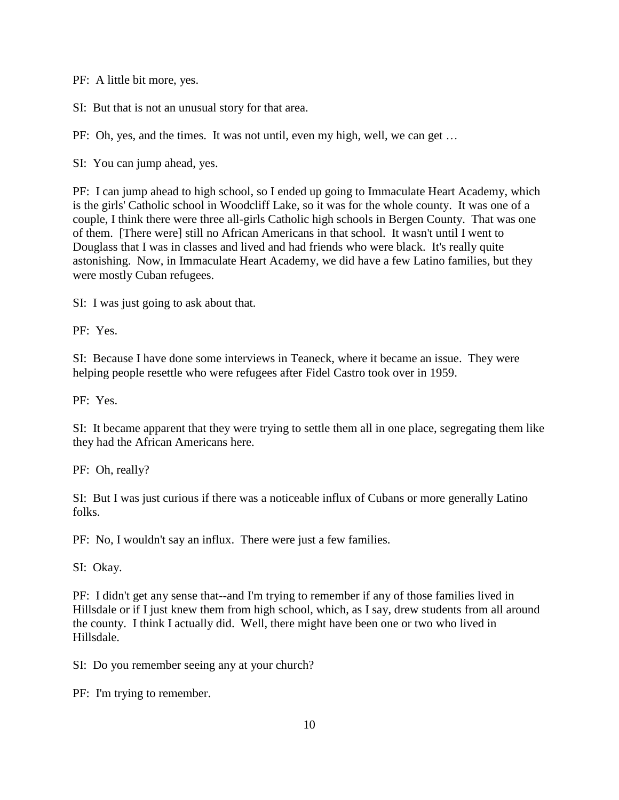PF: A little bit more, yes.

SI: But that is not an unusual story for that area.

PF: Oh, yes, and the times. It was not until, even my high, well, we can get …

SI: You can jump ahead, yes.

PF: I can jump ahead to high school, so I ended up going to Immaculate Heart Academy, which is the girls' Catholic school in Woodcliff Lake, so it was for the whole county. It was one of a couple, I think there were three all-girls Catholic high schools in Bergen County. That was one of them. [There were] still no African Americans in that school. It wasn't until I went to Douglass that I was in classes and lived and had friends who were black. It's really quite astonishing. Now, in Immaculate Heart Academy, we did have a few Latino families, but they were mostly Cuban refugees.

SI: I was just going to ask about that.

PF: Yes.

SI: Because I have done some interviews in Teaneck, where it became an issue. They were helping people resettle who were refugees after Fidel Castro took over in 1959.

PF: Yes.

SI: It became apparent that they were trying to settle them all in one place, segregating them like they had the African Americans here.

PF: Oh, really?

SI: But I was just curious if there was a noticeable influx of Cubans or more generally Latino folks.

PF: No, I wouldn't say an influx. There were just a few families.

SI: Okay.

PF: I didn't get any sense that--and I'm trying to remember if any of those families lived in Hillsdale or if I just knew them from high school, which, as I say, drew students from all around the county. I think I actually did. Well, there might have been one or two who lived in Hillsdale.

SI: Do you remember seeing any at your church?

PF: I'm trying to remember.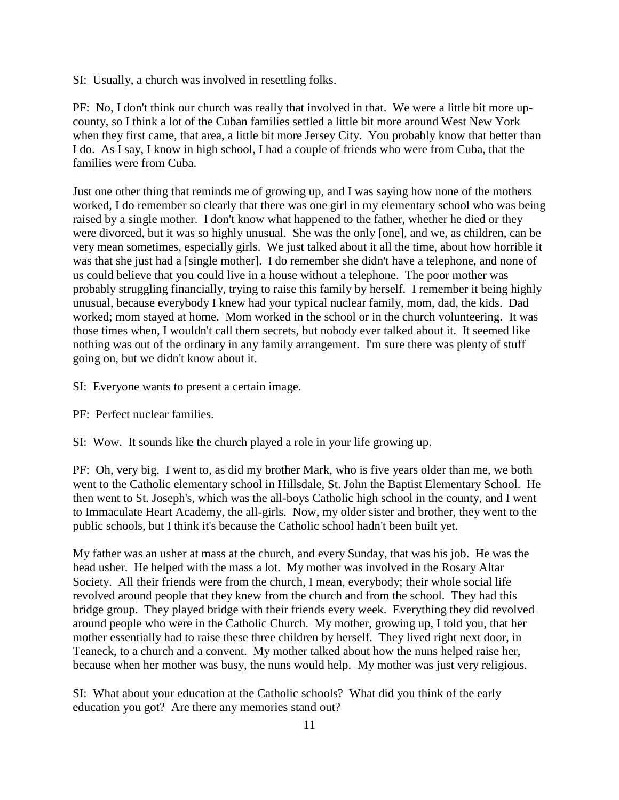SI: Usually, a church was involved in resettling folks.

PF: No, I don't think our church was really that involved in that. We were a little bit more upcounty, so I think a lot of the Cuban families settled a little bit more around West New York when they first came, that area, a little bit more Jersey City. You probably know that better than I do. As I say, I know in high school, I had a couple of friends who were from Cuba, that the families were from Cuba.

Just one other thing that reminds me of growing up, and I was saying how none of the mothers worked, I do remember so clearly that there was one girl in my elementary school who was being raised by a single mother. I don't know what happened to the father, whether he died or they were divorced, but it was so highly unusual. She was the only [one], and we, as children, can be very mean sometimes, especially girls. We just talked about it all the time, about how horrible it was that she just had a [single mother]. I do remember she didn't have a telephone, and none of us could believe that you could live in a house without a telephone. The poor mother was probably struggling financially, trying to raise this family by herself. I remember it being highly unusual, because everybody I knew had your typical nuclear family, mom, dad, the kids. Dad worked; mom stayed at home. Mom worked in the school or in the church volunteering. It was those times when, I wouldn't call them secrets, but nobody ever talked about it. It seemed like nothing was out of the ordinary in any family arrangement. I'm sure there was plenty of stuff going on, but we didn't know about it.

- SI: Everyone wants to present a certain image.
- PF: Perfect nuclear families.

SI: Wow. It sounds like the church played a role in your life growing up.

PF: Oh, very big. I went to, as did my brother Mark, who is five years older than me, we both went to the Catholic elementary school in Hillsdale, St. John the Baptist Elementary School. He then went to St. Joseph's, which was the all-boys Catholic high school in the county, and I went to Immaculate Heart Academy, the all-girls. Now, my older sister and brother, they went to the public schools, but I think it's because the Catholic school hadn't been built yet.

My father was an usher at mass at the church, and every Sunday, that was his job. He was the head usher. He helped with the mass a lot. My mother was involved in the Rosary Altar Society. All their friends were from the church, I mean, everybody; their whole social life revolved around people that they knew from the church and from the school. They had this bridge group. They played bridge with their friends every week. Everything they did revolved around people who were in the Catholic Church. My mother, growing up, I told you, that her mother essentially had to raise these three children by herself. They lived right next door, in Teaneck, to a church and a convent. My mother talked about how the nuns helped raise her, because when her mother was busy, the nuns would help. My mother was just very religious.

SI: What about your education at the Catholic schools? What did you think of the early education you got? Are there any memories stand out?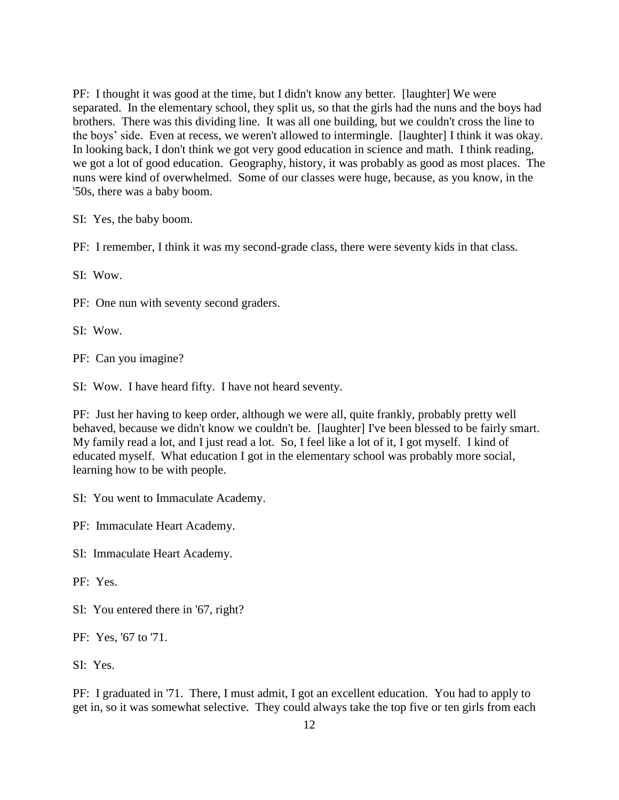PF: I thought it was good at the time, but I didn't know any better. [laughter] We were separated. In the elementary school, they split us, so that the girls had the nuns and the boys had brothers. There was this dividing line. It was all one building, but we couldn't cross the line to the boys' side. Even at recess, we weren't allowed to intermingle. [laughter] I think it was okay. In looking back, I don't think we got very good education in science and math. I think reading, we got a lot of good education. Geography, history, it was probably as good as most places. The nuns were kind of overwhelmed. Some of our classes were huge, because, as you know, in the '50s, there was a baby boom.

SI: Yes, the baby boom.

PF: I remember, I think it was my second-grade class, there were seventy kids in that class.

SI: Wow.

PF: One nun with seventy second graders.

SI: Wow.

PF: Can you imagine?

SI: Wow. I have heard fifty. I have not heard seventy.

PF: Just her having to keep order, although we were all, quite frankly, probably pretty well behaved, because we didn't know we couldn't be. [laughter] I've been blessed to be fairly smart. My family read a lot, and I just read a lot. So, I feel like a lot of it, I got myself. I kind of educated myself. What education I got in the elementary school was probably more social, learning how to be with people.

SI: You went to Immaculate Academy.

PF: Immaculate Heart Academy.

SI: Immaculate Heart Academy.

PF: Yes.

SI: You entered there in '67, right?

PF: Yes, '67 to '71.

SI: Yes.

PF: I graduated in '71. There, I must admit, I got an excellent education. You had to apply to get in, so it was somewhat selective. They could always take the top five or ten girls from each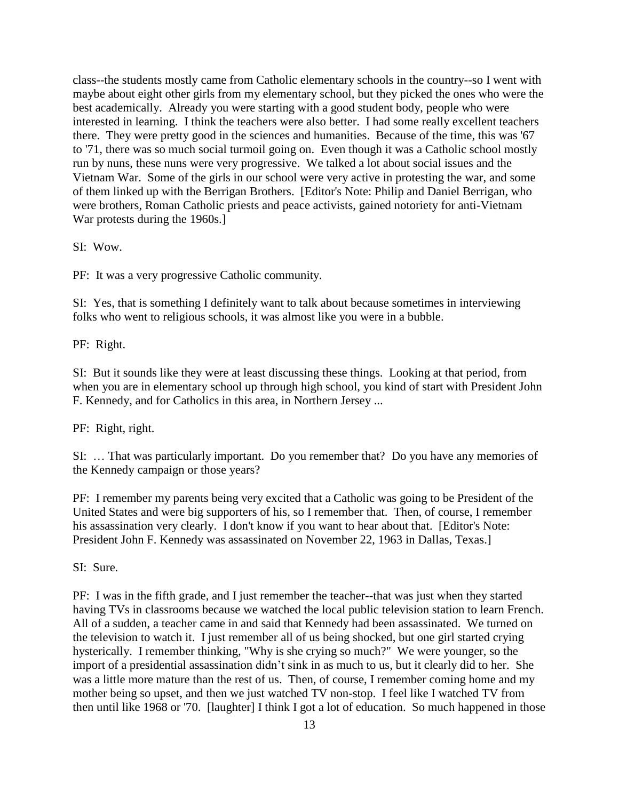class--the students mostly came from Catholic elementary schools in the country--so I went with maybe about eight other girls from my elementary school, but they picked the ones who were the best academically. Already you were starting with a good student body, people who were interested in learning. I think the teachers were also better. I had some really excellent teachers there. They were pretty good in the sciences and humanities. Because of the time, this was '67 to '71, there was so much social turmoil going on. Even though it was a Catholic school mostly run by nuns, these nuns were very progressive. We talked a lot about social issues and the Vietnam War. Some of the girls in our school were very active in protesting the war, and some of them linked up with the Berrigan Brothers. [Editor's Note: Philip and Daniel Berrigan, who were brothers, Roman Catholic priests and peace activists, gained notoriety for anti-Vietnam War protests during the 1960s.]

SI: Wow.

PF: It was a very progressive Catholic community.

SI: Yes, that is something I definitely want to talk about because sometimes in interviewing folks who went to religious schools, it was almost like you were in a bubble.

PF: Right.

SI: But it sounds like they were at least discussing these things. Looking at that period, from when you are in elementary school up through high school, you kind of start with President John F. Kennedy, and for Catholics in this area, in Northern Jersey ...

PF: Right, right.

SI: … That was particularly important. Do you remember that? Do you have any memories of the Kennedy campaign or those years?

PF: I remember my parents being very excited that a Catholic was going to be President of the United States and were big supporters of his, so I remember that. Then, of course, I remember his assassination very clearly. I don't know if you want to hear about that. [Editor's Note: President John F. Kennedy was assassinated on November 22, 1963 in Dallas, Texas.]

SI: Sure.

PF: I was in the fifth grade, and I just remember the teacher--that was just when they started having TVs in classrooms because we watched the local public television station to learn French. All of a sudden, a teacher came in and said that Kennedy had been assassinated. We turned on the television to watch it. I just remember all of us being shocked, but one girl started crying hysterically. I remember thinking, "Why is she crying so much?" We were younger, so the import of a presidential assassination didn't sink in as much to us, but it clearly did to her. She was a little more mature than the rest of us. Then, of course, I remember coming home and my mother being so upset, and then we just watched TV non-stop. I feel like I watched TV from then until like 1968 or '70. [laughter] I think I got a lot of education. So much happened in those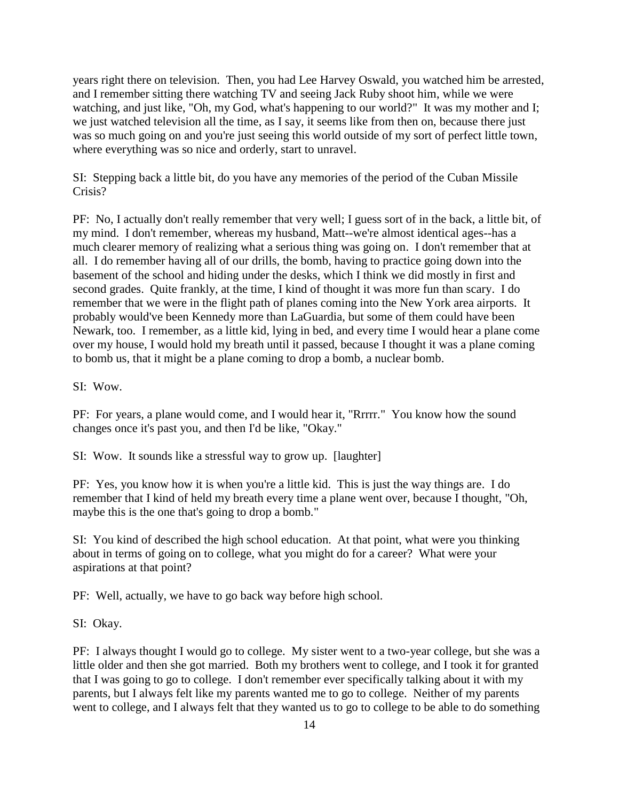years right there on television. Then, you had Lee Harvey Oswald, you watched him be arrested, and I remember sitting there watching TV and seeing Jack Ruby shoot him, while we were watching, and just like, "Oh, my God, what's happening to our world?" It was my mother and I; we just watched television all the time, as I say, it seems like from then on, because there just was so much going on and you're just seeing this world outside of my sort of perfect little town, where everything was so nice and orderly, start to unravel.

SI: Stepping back a little bit, do you have any memories of the period of the Cuban Missile Crisis?

PF: No, I actually don't really remember that very well; I guess sort of in the back, a little bit, of my mind. I don't remember, whereas my husband, Matt--we're almost identical ages--has a much clearer memory of realizing what a serious thing was going on. I don't remember that at all. I do remember having all of our drills, the bomb, having to practice going down into the basement of the school and hiding under the desks, which I think we did mostly in first and second grades. Quite frankly, at the time, I kind of thought it was more fun than scary. I do remember that we were in the flight path of planes coming into the New York area airports. It probably would've been Kennedy more than LaGuardia, but some of them could have been Newark, too. I remember, as a little kid, lying in bed, and every time I would hear a plane come over my house, I would hold my breath until it passed, because I thought it was a plane coming to bomb us, that it might be a plane coming to drop a bomb, a nuclear bomb.

SI: Wow.

PF: For years, a plane would come, and I would hear it, "Rrrrr." You know how the sound changes once it's past you, and then I'd be like, "Okay."

SI: Wow. It sounds like a stressful way to grow up. [laughter]

PF: Yes, you know how it is when you're a little kid. This is just the way things are. I do remember that I kind of held my breath every time a plane went over, because I thought, "Oh, maybe this is the one that's going to drop a bomb."

SI: You kind of described the high school education. At that point, what were you thinking about in terms of going on to college, what you might do for a career? What were your aspirations at that point?

PF: Well, actually, we have to go back way before high school.

SI: Okay.

PF: I always thought I would go to college. My sister went to a two-year college, but she was a little older and then she got married. Both my brothers went to college, and I took it for granted that I was going to go to college. I don't remember ever specifically talking about it with my parents, but I always felt like my parents wanted me to go to college. Neither of my parents went to college, and I always felt that they wanted us to go to college to be able to do something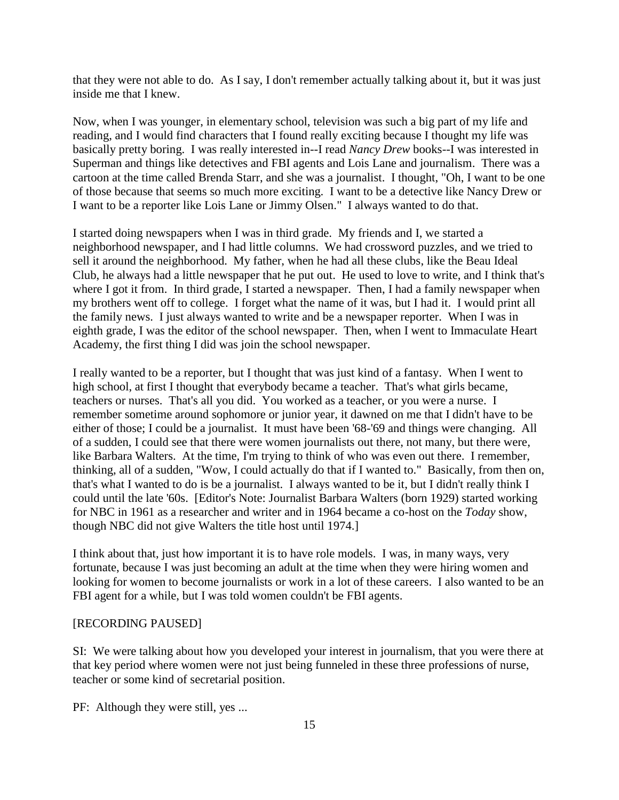that they were not able to do. As I say, I don't remember actually talking about it, but it was just inside me that I knew.

Now, when I was younger, in elementary school, television was such a big part of my life and reading, and I would find characters that I found really exciting because I thought my life was basically pretty boring. I was really interested in--I read *Nancy Drew* books--I was interested in Superman and things like detectives and FBI agents and Lois Lane and journalism. There was a cartoon at the time called Brenda Starr, and she was a journalist. I thought, "Oh, I want to be one of those because that seems so much more exciting. I want to be a detective like Nancy Drew or I want to be a reporter like Lois Lane or Jimmy Olsen." I always wanted to do that.

I started doing newspapers when I was in third grade. My friends and I, we started a neighborhood newspaper, and I had little columns. We had crossword puzzles, and we tried to sell it around the neighborhood. My father, when he had all these clubs, like the Beau Ideal Club, he always had a little newspaper that he put out. He used to love to write, and I think that's where I got it from. In third grade, I started a newspaper. Then, I had a family newspaper when my brothers went off to college. I forget what the name of it was, but I had it. I would print all the family news. I just always wanted to write and be a newspaper reporter. When I was in eighth grade, I was the editor of the school newspaper. Then, when I went to Immaculate Heart Academy, the first thing I did was join the school newspaper.

I really wanted to be a reporter, but I thought that was just kind of a fantasy. When I went to high school, at first I thought that everybody became a teacher. That's what girls became, teachers or nurses. That's all you did. You worked as a teacher, or you were a nurse. I remember sometime around sophomore or junior year, it dawned on me that I didn't have to be either of those; I could be a journalist. It must have been '68-'69 and things were changing. All of a sudden, I could see that there were women journalists out there, not many, but there were, like Barbara Walters. At the time, I'm trying to think of who was even out there. I remember, thinking, all of a sudden, "Wow, I could actually do that if I wanted to." Basically, from then on, that's what I wanted to do is be a journalist. I always wanted to be it, but I didn't really think I could until the late '60s. [Editor's Note: Journalist Barbara Walters (born 1929) started working for NBC in 1961 as a researcher and writer and in 1964 became a co-host on the *Today* show, though NBC did not give Walters the title host until 1974.]

I think about that, just how important it is to have role models. I was, in many ways, very fortunate, because I was just becoming an adult at the time when they were hiring women and looking for women to become journalists or work in a lot of these careers. I also wanted to be an FBI agent for a while, but I was told women couldn't be FBI agents.

### [RECORDING PAUSED]

SI: We were talking about how you developed your interest in journalism, that you were there at that key period where women were not just being funneled in these three professions of nurse, teacher or some kind of secretarial position.

PF: Although they were still, yes ...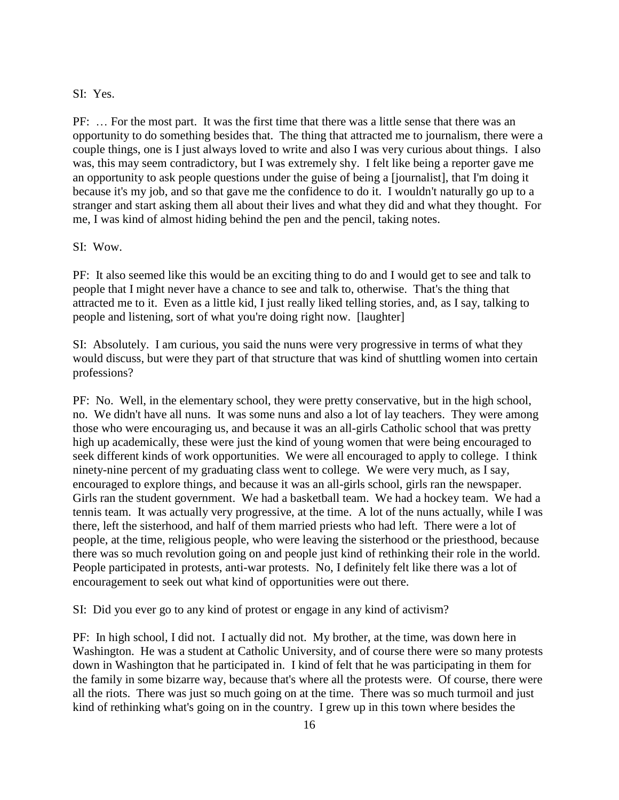### SI: Yes.

PF: … For the most part. It was the first time that there was a little sense that there was an opportunity to do something besides that. The thing that attracted me to journalism, there were a couple things, one is I just always loved to write and also I was very curious about things. I also was, this may seem contradictory, but I was extremely shy. I felt like being a reporter gave me an opportunity to ask people questions under the guise of being a [journalist], that I'm doing it because it's my job, and so that gave me the confidence to do it. I wouldn't naturally go up to a stranger and start asking them all about their lives and what they did and what they thought. For me, I was kind of almost hiding behind the pen and the pencil, taking notes.

### SI: Wow.

PF: It also seemed like this would be an exciting thing to do and I would get to see and talk to people that I might never have a chance to see and talk to, otherwise. That's the thing that attracted me to it. Even as a little kid, I just really liked telling stories, and, as I say, talking to people and listening, sort of what you're doing right now. [laughter]

SI: Absolutely. I am curious, you said the nuns were very progressive in terms of what they would discuss, but were they part of that structure that was kind of shuttling women into certain professions?

PF: No. Well, in the elementary school, they were pretty conservative, but in the high school, no. We didn't have all nuns. It was some nuns and also a lot of lay teachers. They were among those who were encouraging us, and because it was an all-girls Catholic school that was pretty high up academically, these were just the kind of young women that were being encouraged to seek different kinds of work opportunities. We were all encouraged to apply to college. I think ninety-nine percent of my graduating class went to college. We were very much, as I say, encouraged to explore things, and because it was an all-girls school, girls ran the newspaper. Girls ran the student government. We had a basketball team. We had a hockey team. We had a tennis team. It was actually very progressive, at the time. A lot of the nuns actually, while I was there, left the sisterhood, and half of them married priests who had left. There were a lot of people, at the time, religious people, who were leaving the sisterhood or the priesthood, because there was so much revolution going on and people just kind of rethinking their role in the world. People participated in protests, anti-war protests. No, I definitely felt like there was a lot of encouragement to seek out what kind of opportunities were out there.

SI: Did you ever go to any kind of protest or engage in any kind of activism?

PF: In high school, I did not. I actually did not. My brother, at the time, was down here in Washington. He was a student at Catholic University, and of course there were so many protests down in Washington that he participated in. I kind of felt that he was participating in them for the family in some bizarre way, because that's where all the protests were. Of course, there were all the riots. There was just so much going on at the time. There was so much turmoil and just kind of rethinking what's going on in the country. I grew up in this town where besides the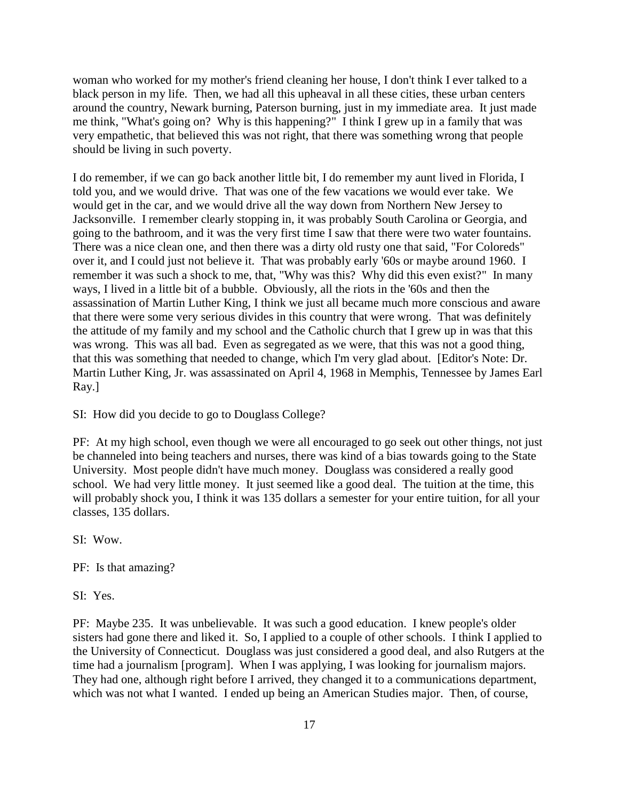woman who worked for my mother's friend cleaning her house, I don't think I ever talked to a black person in my life. Then, we had all this upheaval in all these cities, these urban centers around the country, Newark burning, Paterson burning, just in my immediate area. It just made me think, "What's going on? Why is this happening?" I think I grew up in a family that was very empathetic, that believed this was not right, that there was something wrong that people should be living in such poverty.

I do remember, if we can go back another little bit, I do remember my aunt lived in Florida, I told you, and we would drive. That was one of the few vacations we would ever take. We would get in the car, and we would drive all the way down from Northern New Jersey to Jacksonville. I remember clearly stopping in, it was probably South Carolina or Georgia, and going to the bathroom, and it was the very first time I saw that there were two water fountains. There was a nice clean one, and then there was a dirty old rusty one that said, "For Coloreds" over it, and I could just not believe it. That was probably early '60s or maybe around 1960. I remember it was such a shock to me, that, "Why was this? Why did this even exist?" In many ways, I lived in a little bit of a bubble. Obviously, all the riots in the '60s and then the assassination of Martin Luther King, I think we just all became much more conscious and aware that there were some very serious divides in this country that were wrong. That was definitely the attitude of my family and my school and the Catholic church that I grew up in was that this was wrong. This was all bad. Even as segregated as we were, that this was not a good thing, that this was something that needed to change, which I'm very glad about. [Editor's Note: Dr. Martin Luther King, Jr. was assassinated on April 4, 1968 in Memphis, Tennessee by James Earl Ray.]

SI: How did you decide to go to Douglass College?

PF: At my high school, even though we were all encouraged to go seek out other things, not just be channeled into being teachers and nurses, there was kind of a bias towards going to the State University. Most people didn't have much money. Douglass was considered a really good school. We had very little money. It just seemed like a good deal. The tuition at the time, this will probably shock you, I think it was 135 dollars a semester for your entire tuition, for all your classes, 135 dollars.

SI: Wow.

PF: Is that amazing?

SI: Yes.

PF: Maybe 235. It was unbelievable. It was such a good education. I knew people's older sisters had gone there and liked it. So, I applied to a couple of other schools. I think I applied to the University of Connecticut. Douglass was just considered a good deal, and also Rutgers at the time had a journalism [program]. When I was applying, I was looking for journalism majors. They had one, although right before I arrived, they changed it to a communications department, which was not what I wanted. I ended up being an American Studies major. Then, of course,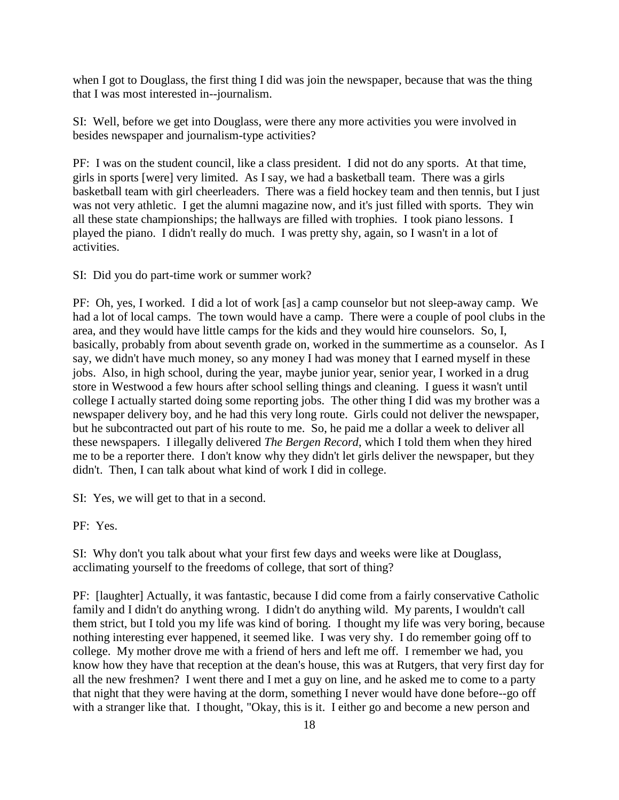when I got to Douglass, the first thing I did was join the newspaper, because that was the thing that I was most interested in--journalism.

SI: Well, before we get into Douglass, were there any more activities you were involved in besides newspaper and journalism-type activities?

PF: I was on the student council, like a class president. I did not do any sports. At that time, girls in sports [were] very limited. As I say, we had a basketball team. There was a girls basketball team with girl cheerleaders. There was a field hockey team and then tennis, but I just was not very athletic. I get the alumni magazine now, and it's just filled with sports. They win all these state championships; the hallways are filled with trophies. I took piano lessons. I played the piano. I didn't really do much. I was pretty shy, again, so I wasn't in a lot of activities.

SI: Did you do part-time work or summer work?

PF: Oh, yes, I worked. I did a lot of work [as] a camp counselor but not sleep-away camp. We had a lot of local camps. The town would have a camp. There were a couple of pool clubs in the area, and they would have little camps for the kids and they would hire counselors. So, I, basically, probably from about seventh grade on, worked in the summertime as a counselor. As I say, we didn't have much money, so any money I had was money that I earned myself in these jobs. Also, in high school, during the year, maybe junior year, senior year, I worked in a drug store in Westwood a few hours after school selling things and cleaning. I guess it wasn't until college I actually started doing some reporting jobs. The other thing I did was my brother was a newspaper delivery boy, and he had this very long route. Girls could not deliver the newspaper, but he subcontracted out part of his route to me. So, he paid me a dollar a week to deliver all these newspapers. I illegally delivered *The Bergen Record*, which I told them when they hired me to be a reporter there. I don't know why they didn't let girls deliver the newspaper, but they didn't. Then, I can talk about what kind of work I did in college.

SI: Yes, we will get to that in a second.

PF: Yes.

SI: Why don't you talk about what your first few days and weeks were like at Douglass, acclimating yourself to the freedoms of college, that sort of thing?

PF: [laughter] Actually, it was fantastic, because I did come from a fairly conservative Catholic family and I didn't do anything wrong. I didn't do anything wild. My parents, I wouldn't call them strict, but I told you my life was kind of boring. I thought my life was very boring, because nothing interesting ever happened, it seemed like. I was very shy. I do remember going off to college. My mother drove me with a friend of hers and left me off. I remember we had, you know how they have that reception at the dean's house, this was at Rutgers, that very first day for all the new freshmen? I went there and I met a guy on line, and he asked me to come to a party that night that they were having at the dorm, something I never would have done before--go off with a stranger like that. I thought, "Okay, this is it. I either go and become a new person and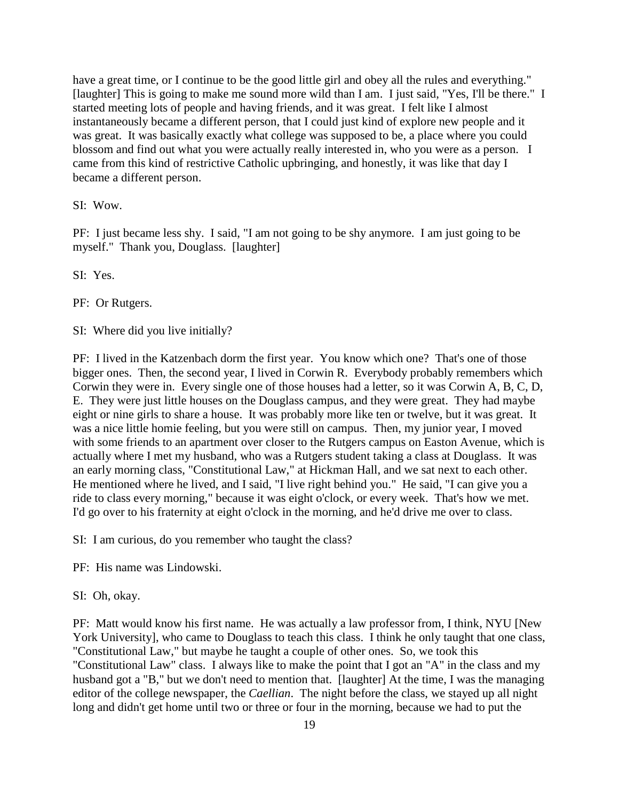have a great time, or I continue to be the good little girl and obey all the rules and everything." [laughter] This is going to make me sound more wild than I am. I just said, "Yes, I'll be there." I started meeting lots of people and having friends, and it was great. I felt like I almost instantaneously became a different person, that I could just kind of explore new people and it was great. It was basically exactly what college was supposed to be, a place where you could blossom and find out what you were actually really interested in, who you were as a person. I came from this kind of restrictive Catholic upbringing, and honestly, it was like that day I became a different person.

SI: Wow.

PF: I just became less shy. I said, "I am not going to be shy anymore. I am just going to be myself." Thank you, Douglass. [laughter]

SI: Yes.

PF: Or Rutgers.

SI: Where did you live initially?

PF: I lived in the Katzenbach dorm the first year. You know which one? That's one of those bigger ones. Then, the second year, I lived in Corwin R. Everybody probably remembers which Corwin they were in. Every single one of those houses had a letter, so it was Corwin A, B, C, D, E. They were just little houses on the Douglass campus, and they were great. They had maybe eight or nine girls to share a house. It was probably more like ten or twelve, but it was great. It was a nice little homie feeling, but you were still on campus. Then, my junior year, I moved with some friends to an apartment over closer to the Rutgers campus on Easton Avenue, which is actually where I met my husband, who was a Rutgers student taking a class at Douglass. It was an early morning class, "Constitutional Law," at Hickman Hall, and we sat next to each other. He mentioned where he lived, and I said, "I live right behind you." He said, "I can give you a ride to class every morning," because it was eight o'clock, or every week. That's how we met. I'd go over to his fraternity at eight o'clock in the morning, and he'd drive me over to class.

SI: I am curious, do you remember who taught the class?

PF: His name was Lindowski.

#### SI: Oh, okay.

PF: Matt would know his first name. He was actually a law professor from, I think, NYU [New York University], who came to Douglass to teach this class. I think he only taught that one class, "Constitutional Law," but maybe he taught a couple of other ones. So, we took this "Constitutional Law" class. I always like to make the point that I got an "A" in the class and my husband got a "B," but we don't need to mention that. [laughter] At the time, I was the managing editor of the college newspaper, the *Caellian*. The night before the class, we stayed up all night long and didn't get home until two or three or four in the morning, because we had to put the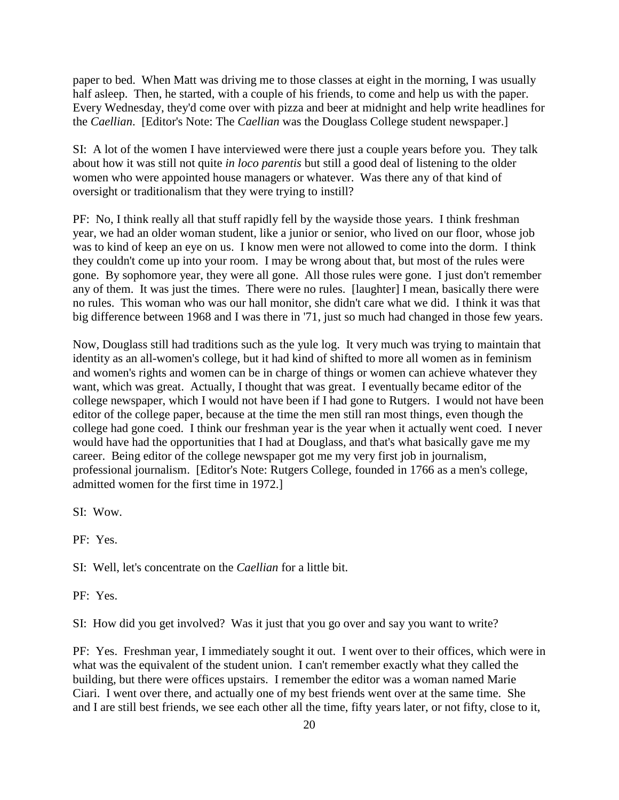paper to bed. When Matt was driving me to those classes at eight in the morning, I was usually half asleep. Then, he started, with a couple of his friends, to come and help us with the paper. Every Wednesday, they'd come over with pizza and beer at midnight and help write headlines for the *Caellian*. [Editor's Note: The *Caellian* was the Douglass College student newspaper.]

SI: A lot of the women I have interviewed were there just a couple years before you. They talk about how it was still not quite *in loco parentis* but still a good deal of listening to the older women who were appointed house managers or whatever. Was there any of that kind of oversight or traditionalism that they were trying to instill?

PF: No, I think really all that stuff rapidly fell by the wayside those years. I think freshman year, we had an older woman student, like a junior or senior, who lived on our floor, whose job was to kind of keep an eye on us. I know men were not allowed to come into the dorm. I think they couldn't come up into your room. I may be wrong about that, but most of the rules were gone. By sophomore year, they were all gone. All those rules were gone. I just don't remember any of them. It was just the times. There were no rules. [laughter] I mean, basically there were no rules. This woman who was our hall monitor, she didn't care what we did. I think it was that big difference between 1968 and I was there in '71, just so much had changed in those few years.

Now, Douglass still had traditions such as the yule log. It very much was trying to maintain that identity as an all-women's college, but it had kind of shifted to more all women as in feminism and women's rights and women can be in charge of things or women can achieve whatever they want, which was great. Actually, I thought that was great. I eventually became editor of the college newspaper, which I would not have been if I had gone to Rutgers. I would not have been editor of the college paper, because at the time the men still ran most things, even though the college had gone coed. I think our freshman year is the year when it actually went coed. I never would have had the opportunities that I had at Douglass, and that's what basically gave me my career. Being editor of the college newspaper got me my very first job in journalism, professional journalism. [Editor's Note: Rutgers College, founded in 1766 as a men's college, admitted women for the first time in 1972.]

SI: Wow.

PF: Yes.

SI: Well, let's concentrate on the *Caellian* for a little bit.

PF: Yes.

SI: How did you get involved? Was it just that you go over and say you want to write?

PF: Yes. Freshman year, I immediately sought it out. I went over to their offices, which were in what was the equivalent of the student union. I can't remember exactly what they called the building, but there were offices upstairs. I remember the editor was a woman named Marie Ciari. I went over there, and actually one of my best friends went over at the same time. She and I are still best friends, we see each other all the time, fifty years later, or not fifty, close to it,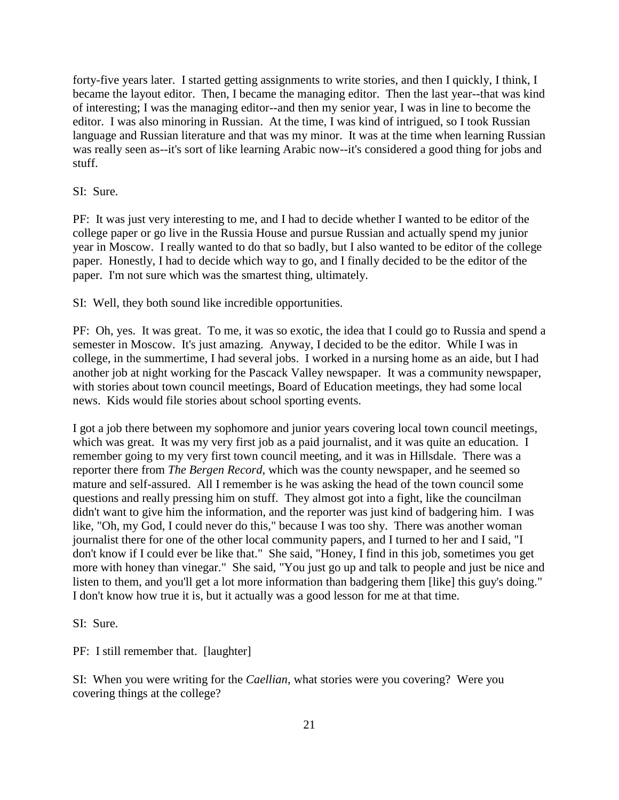forty-five years later. I started getting assignments to write stories, and then I quickly, I think, I became the layout editor. Then, I became the managing editor. Then the last year--that was kind of interesting; I was the managing editor--and then my senior year, I was in line to become the editor. I was also minoring in Russian. At the time, I was kind of intrigued, so I took Russian language and Russian literature and that was my minor. It was at the time when learning Russian was really seen as--it's sort of like learning Arabic now--it's considered a good thing for jobs and stuff.

### SI: Sure.

PF: It was just very interesting to me, and I had to decide whether I wanted to be editor of the college paper or go live in the Russia House and pursue Russian and actually spend my junior year in Moscow. I really wanted to do that so badly, but I also wanted to be editor of the college paper. Honestly, I had to decide which way to go, and I finally decided to be the editor of the paper. I'm not sure which was the smartest thing, ultimately.

SI: Well, they both sound like incredible opportunities.

PF: Oh, yes. It was great. To me, it was so exotic, the idea that I could go to Russia and spend a semester in Moscow. It's just amazing. Anyway, I decided to be the editor. While I was in college, in the summertime, I had several jobs. I worked in a nursing home as an aide, but I had another job at night working for the Pascack Valley newspaper. It was a community newspaper, with stories about town council meetings, Board of Education meetings, they had some local news. Kids would file stories about school sporting events.

I got a job there between my sophomore and junior years covering local town council meetings, which was great. It was my very first job as a paid journalist, and it was quite an education. I remember going to my very first town council meeting, and it was in Hillsdale. There was a reporter there from *The Bergen Record*, which was the county newspaper, and he seemed so mature and self-assured. All I remember is he was asking the head of the town council some questions and really pressing him on stuff. They almost got into a fight, like the councilman didn't want to give him the information, and the reporter was just kind of badgering him. I was like, "Oh, my God, I could never do this," because I was too shy. There was another woman journalist there for one of the other local community papers, and I turned to her and I said, "I don't know if I could ever be like that." She said, "Honey, I find in this job, sometimes you get more with honey than vinegar." She said, "You just go up and talk to people and just be nice and listen to them, and you'll get a lot more information than badgering them [like] this guy's doing." I don't know how true it is, but it actually was a good lesson for me at that time.

SI: Sure.

PF: I still remember that. [laughter]

SI: When you were writing for the *Caellian*, what stories were you covering? Were you covering things at the college?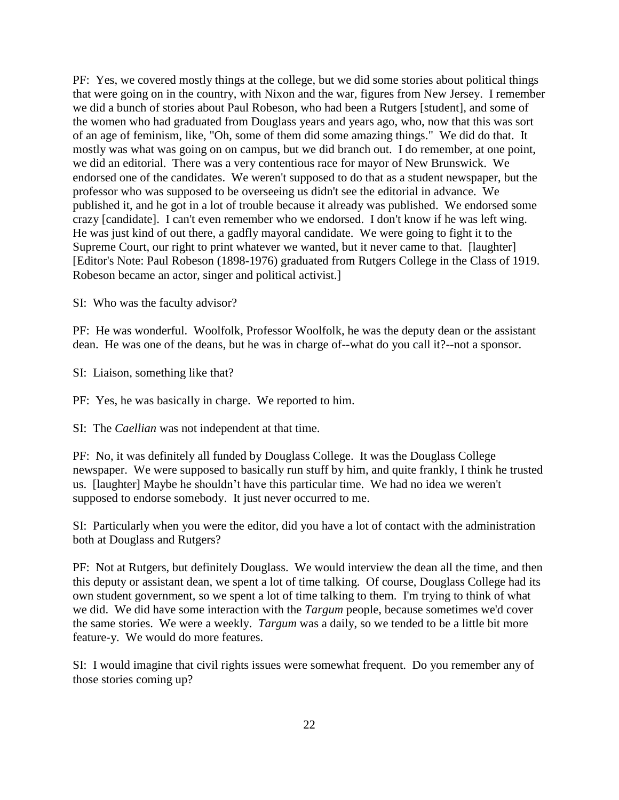PF: Yes, we covered mostly things at the college, but we did some stories about political things that were going on in the country, with Nixon and the war, figures from New Jersey. I remember we did a bunch of stories about Paul Robeson, who had been a Rutgers [student], and some of the women who had graduated from Douglass years and years ago, who, now that this was sort of an age of feminism, like, "Oh, some of them did some amazing things." We did do that. It mostly was what was going on on campus, but we did branch out. I do remember, at one point, we did an editorial. There was a very contentious race for mayor of New Brunswick. We endorsed one of the candidates. We weren't supposed to do that as a student newspaper, but the professor who was supposed to be overseeing us didn't see the editorial in advance. We published it, and he got in a lot of trouble because it already was published. We endorsed some crazy [candidate]. I can't even remember who we endorsed. I don't know if he was left wing. He was just kind of out there, a gadfly mayoral candidate. We were going to fight it to the Supreme Court, our right to print whatever we wanted, but it never came to that. [laughter] [Editor's Note: Paul Robeson (1898-1976) graduated from Rutgers College in the Class of 1919. Robeson became an actor, singer and political activist.]

SI: Who was the faculty advisor?

PF: He was wonderful. Woolfolk, Professor Woolfolk, he was the deputy dean or the assistant dean. He was one of the deans, but he was in charge of--what do you call it?--not a sponsor.

SI: Liaison, something like that?

PF: Yes, he was basically in charge. We reported to him.

SI: The *Caellian* was not independent at that time.

PF: No, it was definitely all funded by Douglass College. It was the Douglass College newspaper. We were supposed to basically run stuff by him, and quite frankly, I think he trusted us. [laughter] Maybe he shouldn't have this particular time. We had no idea we weren't supposed to endorse somebody. It just never occurred to me.

SI: Particularly when you were the editor, did you have a lot of contact with the administration both at Douglass and Rutgers?

PF: Not at Rutgers, but definitely Douglass. We would interview the dean all the time, and then this deputy or assistant dean, we spent a lot of time talking. Of course, Douglass College had its own student government, so we spent a lot of time talking to them. I'm trying to think of what we did. We did have some interaction with the *Targum* people, because sometimes we'd cover the same stories. We were a weekly. *Targum* was a daily, so we tended to be a little bit more feature-y. We would do more features.

SI: I would imagine that civil rights issues were somewhat frequent. Do you remember any of those stories coming up?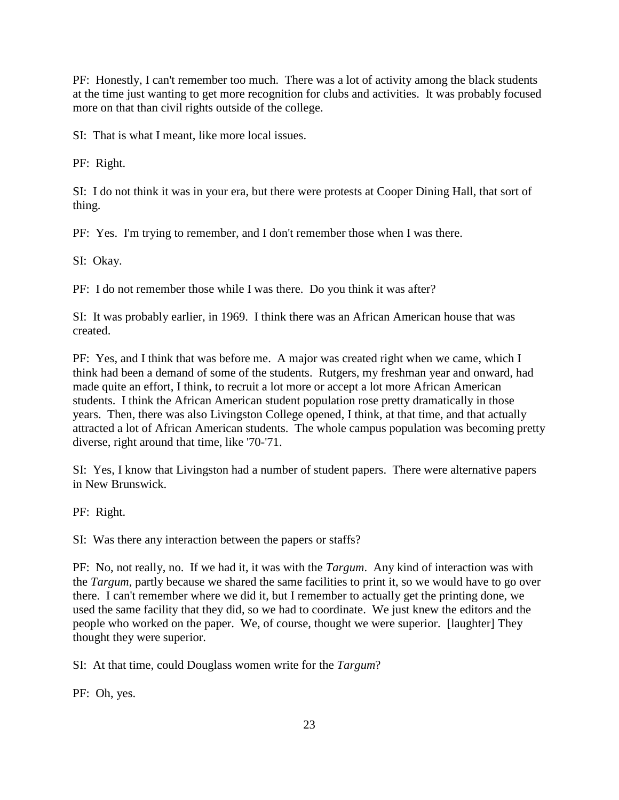PF: Honestly, I can't remember too much. There was a lot of activity among the black students at the time just wanting to get more recognition for clubs and activities. It was probably focused more on that than civil rights outside of the college.

SI: That is what I meant, like more local issues.

PF: Right.

SI: I do not think it was in your era, but there were protests at Cooper Dining Hall, that sort of thing.

PF: Yes. I'm trying to remember, and I don't remember those when I was there.

SI: Okay.

PF: I do not remember those while I was there. Do you think it was after?

SI: It was probably earlier, in 1969. I think there was an African American house that was created.

PF: Yes, and I think that was before me. A major was created right when we came, which I think had been a demand of some of the students. Rutgers, my freshman year and onward, had made quite an effort, I think, to recruit a lot more or accept a lot more African American students. I think the African American student population rose pretty dramatically in those years. Then, there was also Livingston College opened, I think, at that time, and that actually attracted a lot of African American students. The whole campus population was becoming pretty diverse, right around that time, like '70-'71.

SI: Yes, I know that Livingston had a number of student papers. There were alternative papers in New Brunswick.

PF: Right.

SI: Was there any interaction between the papers or staffs?

PF: No, not really, no. If we had it, it was with the *Targum*. Any kind of interaction was with the *Targum*, partly because we shared the same facilities to print it, so we would have to go over there. I can't remember where we did it, but I remember to actually get the printing done, we used the same facility that they did, so we had to coordinate. We just knew the editors and the people who worked on the paper. We, of course, thought we were superior. [laughter] They thought they were superior.

SI: At that time, could Douglass women write for the *Targum*?

PF: Oh, yes.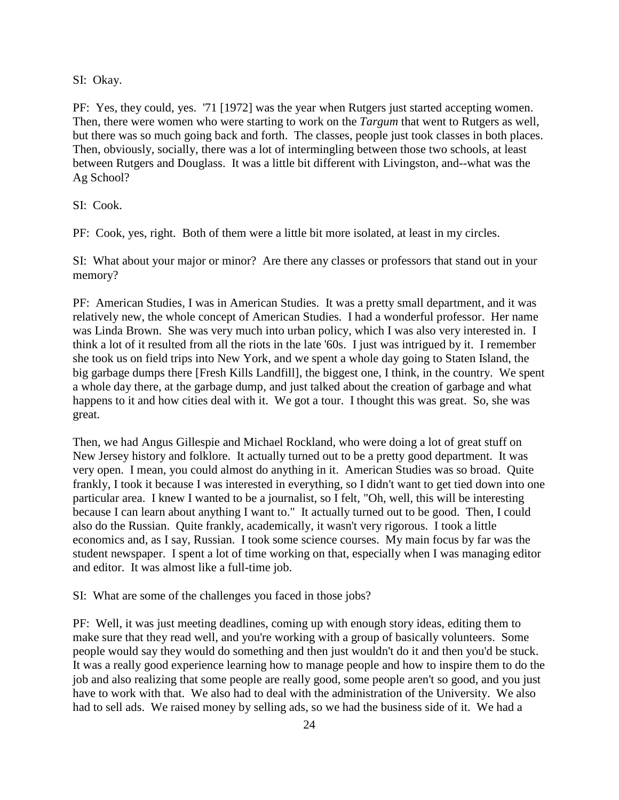SI: Okay.

PF: Yes, they could, yes. '71 [1972] was the year when Rutgers just started accepting women. Then, there were women who were starting to work on the *Targum* that went to Rutgers as well, but there was so much going back and forth. The classes, people just took classes in both places. Then, obviously, socially, there was a lot of intermingling between those two schools, at least between Rutgers and Douglass. It was a little bit different with Livingston, and--what was the Ag School?

SI: Cook.

PF: Cook, yes, right. Both of them were a little bit more isolated, at least in my circles.

SI: What about your major or minor? Are there any classes or professors that stand out in your memory?

PF: American Studies, I was in American Studies. It was a pretty small department, and it was relatively new, the whole concept of American Studies. I had a wonderful professor. Her name was Linda Brown. She was very much into urban policy, which I was also very interested in. I think a lot of it resulted from all the riots in the late '60s. I just was intrigued by it. I remember she took us on field trips into New York, and we spent a whole day going to Staten Island, the big garbage dumps there [Fresh Kills Landfill], the biggest one, I think, in the country. We spent a whole day there, at the garbage dump, and just talked about the creation of garbage and what happens to it and how cities deal with it. We got a tour. I thought this was great. So, she was great.

Then, we had Angus Gillespie and Michael Rockland, who were doing a lot of great stuff on New Jersey history and folklore. It actually turned out to be a pretty good department. It was very open. I mean, you could almost do anything in it. American Studies was so broad. Quite frankly, I took it because I was interested in everything, so I didn't want to get tied down into one particular area. I knew I wanted to be a journalist, so I felt, "Oh, well, this will be interesting because I can learn about anything I want to." It actually turned out to be good. Then, I could also do the Russian. Quite frankly, academically, it wasn't very rigorous. I took a little economics and, as I say, Russian. I took some science courses. My main focus by far was the student newspaper. I spent a lot of time working on that, especially when I was managing editor and editor. It was almost like a full-time job.

SI: What are some of the challenges you faced in those jobs?

PF: Well, it was just meeting deadlines, coming up with enough story ideas, editing them to make sure that they read well, and you're working with a group of basically volunteers. Some people would say they would do something and then just wouldn't do it and then you'd be stuck. It was a really good experience learning how to manage people and how to inspire them to do the job and also realizing that some people are really good, some people aren't so good, and you just have to work with that. We also had to deal with the administration of the University. We also had to sell ads. We raised money by selling ads, so we had the business side of it. We had a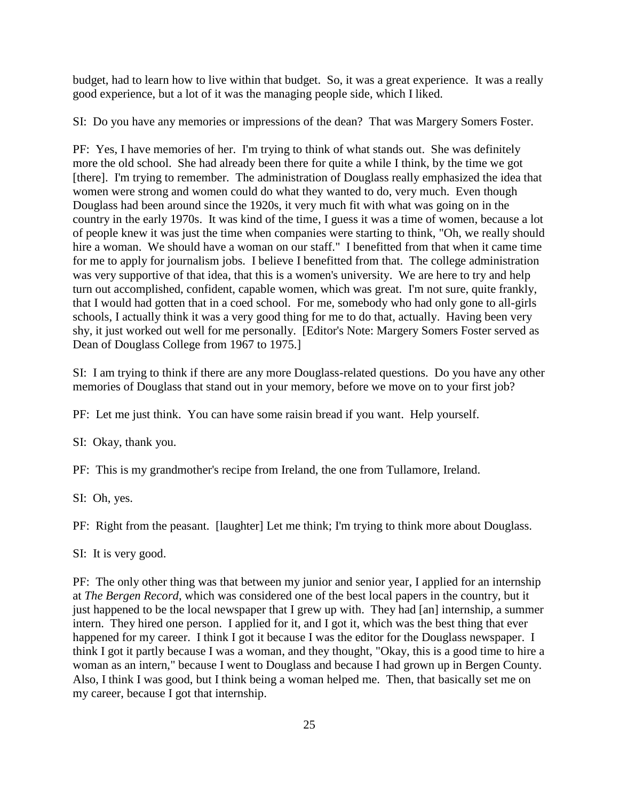budget, had to learn how to live within that budget. So, it was a great experience. It was a really good experience, but a lot of it was the managing people side, which I liked.

SI: Do you have any memories or impressions of the dean? That was Margery Somers Foster.

PF: Yes, I have memories of her. I'm trying to think of what stands out. She was definitely more the old school. She had already been there for quite a while I think, by the time we got [there]. I'm trying to remember. The administration of Douglass really emphasized the idea that women were strong and women could do what they wanted to do, very much. Even though Douglass had been around since the 1920s, it very much fit with what was going on in the country in the early 1970s. It was kind of the time, I guess it was a time of women, because a lot of people knew it was just the time when companies were starting to think, "Oh, we really should hire a woman. We should have a woman on our staff." I benefitted from that when it came time for me to apply for journalism jobs. I believe I benefitted from that. The college administration was very supportive of that idea, that this is a women's university. We are here to try and help turn out accomplished, confident, capable women, which was great. I'm not sure, quite frankly, that I would had gotten that in a coed school. For me, somebody who had only gone to all-girls schools, I actually think it was a very good thing for me to do that, actually. Having been very shy, it just worked out well for me personally. [Editor's Note: Margery Somers Foster served as Dean of Douglass College from 1967 to 1975.]

SI: I am trying to think if there are any more Douglass-related questions. Do you have any other memories of Douglass that stand out in your memory, before we move on to your first job?

PF: Let me just think. You can have some raisin bread if you want. Help yourself.

SI: Okay, thank you.

PF: This is my grandmother's recipe from Ireland, the one from Tullamore, Ireland.

SI: Oh, yes.

PF: Right from the peasant. [laughter] Let me think; I'm trying to think more about Douglass.

SI: It is very good.

PF: The only other thing was that between my junior and senior year, I applied for an internship at *The Bergen Record*, which was considered one of the best local papers in the country, but it just happened to be the local newspaper that I grew up with. They had [an] internship, a summer intern. They hired one person. I applied for it, and I got it, which was the best thing that ever happened for my career. I think I got it because I was the editor for the Douglass newspaper. I think I got it partly because I was a woman, and they thought, "Okay, this is a good time to hire a woman as an intern," because I went to Douglass and because I had grown up in Bergen County. Also, I think I was good, but I think being a woman helped me. Then, that basically set me on my career, because I got that internship.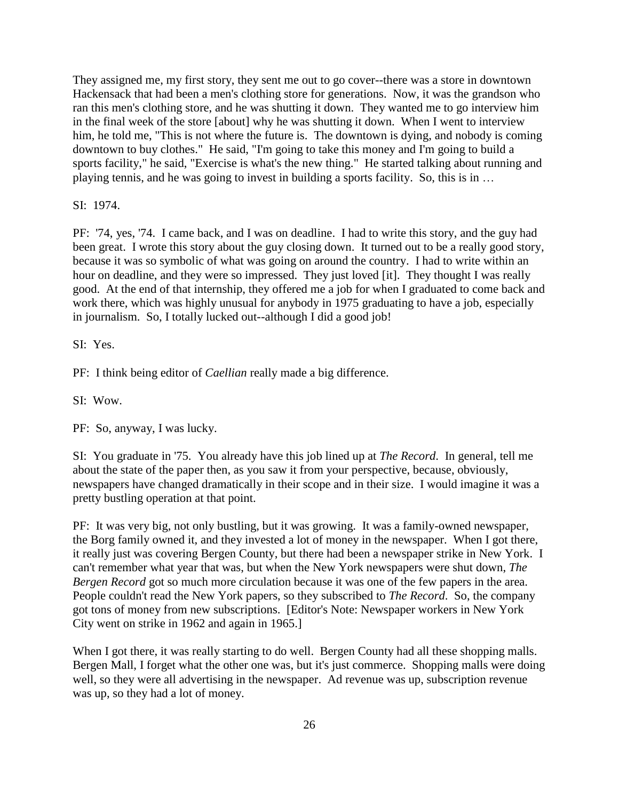They assigned me, my first story, they sent me out to go cover--there was a store in downtown Hackensack that had been a men's clothing store for generations. Now, it was the grandson who ran this men's clothing store, and he was shutting it down. They wanted me to go interview him in the final week of the store [about] why he was shutting it down. When I went to interview him, he told me, "This is not where the future is. The downtown is dying, and nobody is coming downtown to buy clothes." He said, "I'm going to take this money and I'm going to build a sports facility," he said, "Exercise is what's the new thing." He started talking about running and playing tennis, and he was going to invest in building a sports facility. So, this is in …

SI: 1974.

PF: '74, yes, '74. I came back, and I was on deadline. I had to write this story, and the guy had been great. I wrote this story about the guy closing down. It turned out to be a really good story, because it was so symbolic of what was going on around the country. I had to write within an hour on deadline, and they were so impressed. They just loved [it]. They thought I was really good. At the end of that internship, they offered me a job for when I graduated to come back and work there, which was highly unusual for anybody in 1975 graduating to have a job, especially in journalism. So, I totally lucked out--although I did a good job!

SI: Yes.

PF: I think being editor of *Caellian* really made a big difference.

SI: Wow.

PF: So, anyway, I was lucky.

SI: You graduate in '75. You already have this job lined up at *The Record*. In general, tell me about the state of the paper then, as you saw it from your perspective, because, obviously, newspapers have changed dramatically in their scope and in their size. I would imagine it was a pretty bustling operation at that point.

PF: It was very big, not only bustling, but it was growing. It was a family-owned newspaper, the Borg family owned it, and they invested a lot of money in the newspaper. When I got there, it really just was covering Bergen County, but there had been a newspaper strike in New York. I can't remember what year that was, but when the New York newspapers were shut down, *The Bergen Record* got so much more circulation because it was one of the few papers in the area. People couldn't read the New York papers, so they subscribed to *The Record*. So, the company got tons of money from new subscriptions. [Editor's Note: Newspaper workers in New York City went on strike in 1962 and again in 1965.]

When I got there, it was really starting to do well. Bergen County had all these shopping malls. Bergen Mall, I forget what the other one was, but it's just commerce. Shopping malls were doing well, so they were all advertising in the newspaper. Ad revenue was up, subscription revenue was up, so they had a lot of money.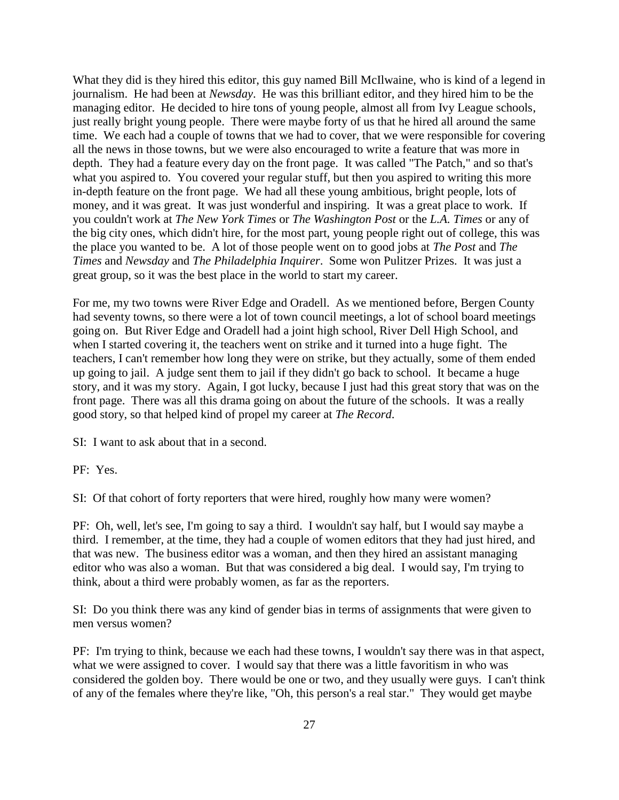What they did is they hired this editor, this guy named Bill McIlwaine, who is kind of a legend in journalism. He had been at *Newsday*. He was this brilliant editor, and they hired him to be the managing editor. He decided to hire tons of young people, almost all from Ivy League schools, just really bright young people. There were maybe forty of us that he hired all around the same time. We each had a couple of towns that we had to cover, that we were responsible for covering all the news in those towns, but we were also encouraged to write a feature that was more in depth. They had a feature every day on the front page. It was called "The Patch," and so that's what you aspired to. You covered your regular stuff, but then you aspired to writing this more in-depth feature on the front page. We had all these young ambitious, bright people, lots of money, and it was great. It was just wonderful and inspiring. It was a great place to work. If you couldn't work at *The New York Times* or *The Washington Post* or the *L.A. Times* or any of the big city ones, which didn't hire, for the most part, young people right out of college, this was the place you wanted to be. A lot of those people went on to good jobs at *The Post* and *The Times* and *Newsday* and *The Philadelphia Inquirer*. Some won Pulitzer Prizes. It was just a great group, so it was the best place in the world to start my career.

For me, my two towns were River Edge and Oradell. As we mentioned before, Bergen County had seventy towns, so there were a lot of town council meetings, a lot of school board meetings going on. But River Edge and Oradell had a joint high school, River Dell High School, and when I started covering it, the teachers went on strike and it turned into a huge fight. The teachers, I can't remember how long they were on strike, but they actually, some of them ended up going to jail. A judge sent them to jail if they didn't go back to school. It became a huge story, and it was my story. Again, I got lucky, because I just had this great story that was on the front page. There was all this drama going on about the future of the schools. It was a really good story, so that helped kind of propel my career at *The Record*.

SI: I want to ask about that in a second.

PF: Yes.

SI: Of that cohort of forty reporters that were hired, roughly how many were women?

PF: Oh, well, let's see, I'm going to say a third. I wouldn't say half, but I would say maybe a third. I remember, at the time, they had a couple of women editors that they had just hired, and that was new. The business editor was a woman, and then they hired an assistant managing editor who was also a woman. But that was considered a big deal. I would say, I'm trying to think, about a third were probably women, as far as the reporters.

SI: Do you think there was any kind of gender bias in terms of assignments that were given to men versus women?

PF: I'm trying to think, because we each had these towns, I wouldn't say there was in that aspect, what we were assigned to cover. I would say that there was a little favoritism in who was considered the golden boy. There would be one or two, and they usually were guys. I can't think of any of the females where they're like, "Oh, this person's a real star." They would get maybe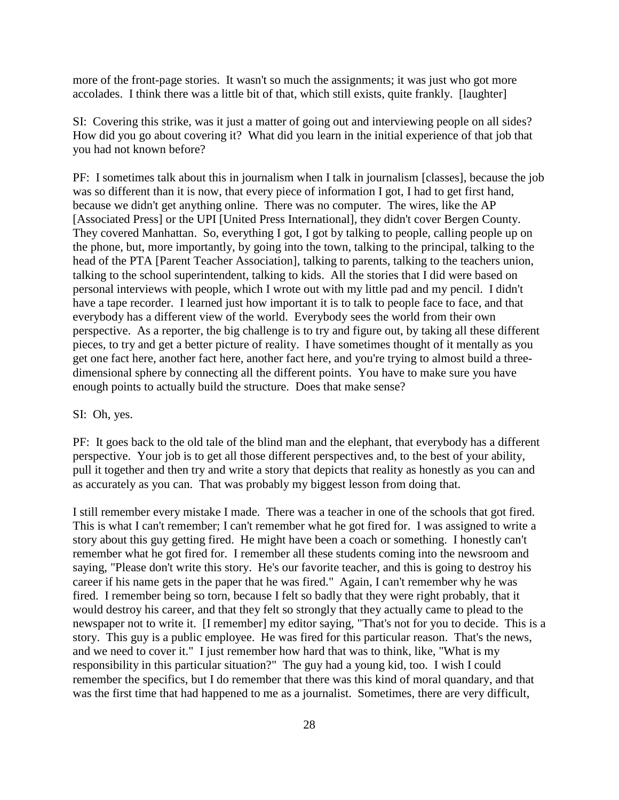more of the front-page stories. It wasn't so much the assignments; it was just who got more accolades. I think there was a little bit of that, which still exists, quite frankly. [laughter]

SI: Covering this strike, was it just a matter of going out and interviewing people on all sides? How did you go about covering it? What did you learn in the initial experience of that job that you had not known before?

PF: I sometimes talk about this in journalism when I talk in journalism [classes], because the job was so different than it is now, that every piece of information I got, I had to get first hand, because we didn't get anything online. There was no computer. The wires, like the AP [Associated Press] or the UPI [United Press International], they didn't cover Bergen County. They covered Manhattan. So, everything I got, I got by talking to people, calling people up on the phone, but, more importantly, by going into the town, talking to the principal, talking to the head of the PTA [Parent Teacher Association], talking to parents, talking to the teachers union, talking to the school superintendent, talking to kids. All the stories that I did were based on personal interviews with people, which I wrote out with my little pad and my pencil. I didn't have a tape recorder. I learned just how important it is to talk to people face to face, and that everybody has a different view of the world. Everybody sees the world from their own perspective. As a reporter, the big challenge is to try and figure out, by taking all these different pieces, to try and get a better picture of reality. I have sometimes thought of it mentally as you get one fact here, another fact here, another fact here, and you're trying to almost build a threedimensional sphere by connecting all the different points. You have to make sure you have enough points to actually build the structure. Does that make sense?

### SI: Oh, yes.

PF: It goes back to the old tale of the blind man and the elephant, that everybody has a different perspective. Your job is to get all those different perspectives and, to the best of your ability, pull it together and then try and write a story that depicts that reality as honestly as you can and as accurately as you can. That was probably my biggest lesson from doing that.

I still remember every mistake I made. There was a teacher in one of the schools that got fired. This is what I can't remember; I can't remember what he got fired for. I was assigned to write a story about this guy getting fired. He might have been a coach or something. I honestly can't remember what he got fired for. I remember all these students coming into the newsroom and saying, "Please don't write this story. He's our favorite teacher, and this is going to destroy his career if his name gets in the paper that he was fired." Again, I can't remember why he was fired. I remember being so torn, because I felt so badly that they were right probably, that it would destroy his career, and that they felt so strongly that they actually came to plead to the newspaper not to write it. [I remember] my editor saying, "That's not for you to decide. This is a story. This guy is a public employee. He was fired for this particular reason. That's the news, and we need to cover it." I just remember how hard that was to think, like, "What is my responsibility in this particular situation?" The guy had a young kid, too. I wish I could remember the specifics, but I do remember that there was this kind of moral quandary, and that was the first time that had happened to me as a journalist. Sometimes, there are very difficult,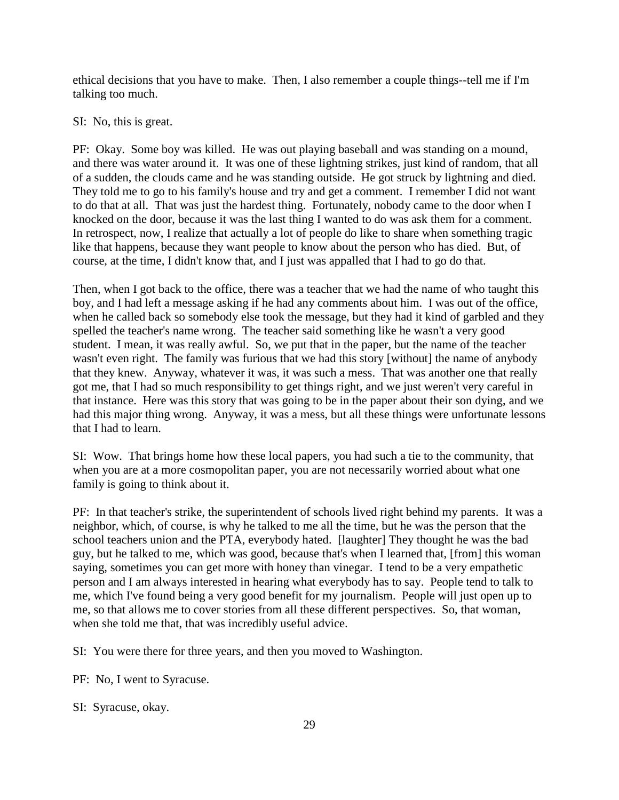ethical decisions that you have to make. Then, I also remember a couple things--tell me if I'm talking too much.

SI: No, this is great.

PF: Okay. Some boy was killed. He was out playing baseball and was standing on a mound, and there was water around it. It was one of these lightning strikes, just kind of random, that all of a sudden, the clouds came and he was standing outside. He got struck by lightning and died. They told me to go to his family's house and try and get a comment. I remember I did not want to do that at all. That was just the hardest thing. Fortunately, nobody came to the door when I knocked on the door, because it was the last thing I wanted to do was ask them for a comment. In retrospect, now, I realize that actually a lot of people do like to share when something tragic like that happens, because they want people to know about the person who has died. But, of course, at the time, I didn't know that, and I just was appalled that I had to go do that.

Then, when I got back to the office, there was a teacher that we had the name of who taught this boy, and I had left a message asking if he had any comments about him. I was out of the office, when he called back so somebody else took the message, but they had it kind of garbled and they spelled the teacher's name wrong. The teacher said something like he wasn't a very good student. I mean, it was really awful. So, we put that in the paper, but the name of the teacher wasn't even right. The family was furious that we had this story [without] the name of anybody that they knew. Anyway, whatever it was, it was such a mess. That was another one that really got me, that I had so much responsibility to get things right, and we just weren't very careful in that instance. Here was this story that was going to be in the paper about their son dying, and we had this major thing wrong. Anyway, it was a mess, but all these things were unfortunate lessons that I had to learn.

SI: Wow. That brings home how these local papers, you had such a tie to the community, that when you are at a more cosmopolitan paper, you are not necessarily worried about what one family is going to think about it.

PF: In that teacher's strike, the superintendent of schools lived right behind my parents. It was a neighbor, which, of course, is why he talked to me all the time, but he was the person that the school teachers union and the PTA, everybody hated. [laughter] They thought he was the bad guy, but he talked to me, which was good, because that's when I learned that, [from] this woman saying, sometimes you can get more with honey than vinegar. I tend to be a very empathetic person and I am always interested in hearing what everybody has to say. People tend to talk to me, which I've found being a very good benefit for my journalism. People will just open up to me, so that allows me to cover stories from all these different perspectives. So, that woman, when she told me that, that was incredibly useful advice.

SI: You were there for three years, and then you moved to Washington.

PF: No, I went to Syracuse.

SI: Syracuse, okay.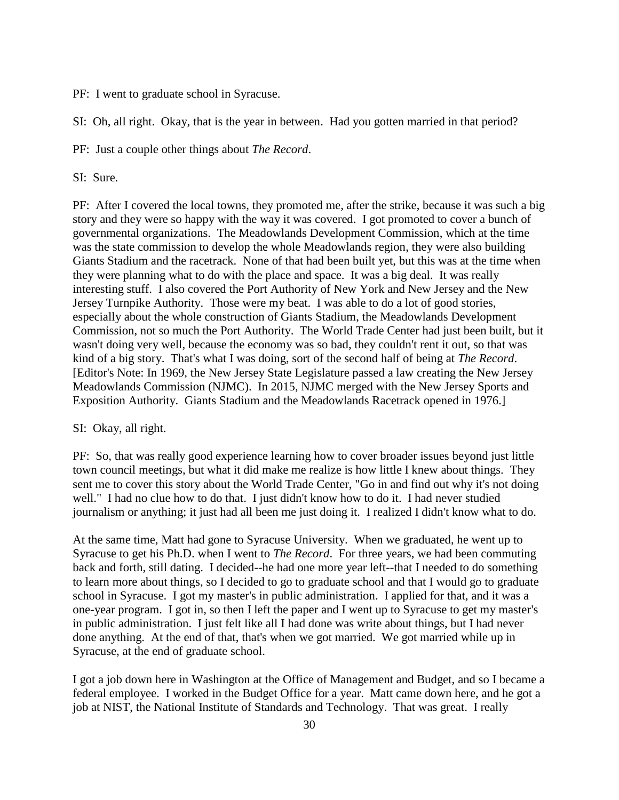PF: I went to graduate school in Syracuse.

SI: Oh, all right. Okay, that is the year in between. Had you gotten married in that period?

PF: Just a couple other things about *The Record*.

SI: Sure.

PF: After I covered the local towns, they promoted me, after the strike, because it was such a big story and they were so happy with the way it was covered. I got promoted to cover a bunch of governmental organizations. The Meadowlands Development Commission, which at the time was the state commission to develop the whole Meadowlands region, they were also building Giants Stadium and the racetrack. None of that had been built yet, but this was at the time when they were planning what to do with the place and space. It was a big deal. It was really interesting stuff. I also covered the Port Authority of New York and New Jersey and the New Jersey Turnpike Authority. Those were my beat. I was able to do a lot of good stories, especially about the whole construction of Giants Stadium, the Meadowlands Development Commission, not so much the Port Authority. The World Trade Center had just been built, but it wasn't doing very well, because the economy was so bad, they couldn't rent it out, so that was kind of a big story. That's what I was doing, sort of the second half of being at *The Record*. [Editor's Note: In 1969, the New Jersey State Legislature passed a law creating the New Jersey Meadowlands Commission (NJMC). In 2015, NJMC merged with the New Jersey Sports and Exposition Authority. Giants Stadium and the Meadowlands Racetrack opened in 1976.]

### SI: Okay, all right.

PF: So, that was really good experience learning how to cover broader issues beyond just little town council meetings, but what it did make me realize is how little I knew about things. They sent me to cover this story about the World Trade Center, "Go in and find out why it's not doing well." I had no clue how to do that. I just didn't know how to do it. I had never studied journalism or anything; it just had all been me just doing it. I realized I didn't know what to do.

At the same time, Matt had gone to Syracuse University. When we graduated, he went up to Syracuse to get his Ph.D. when I went to *The Record*. For three years, we had been commuting back and forth, still dating. I decided--he had one more year left--that I needed to do something to learn more about things, so I decided to go to graduate school and that I would go to graduate school in Syracuse. I got my master's in public administration. I applied for that, and it was a one-year program. I got in, so then I left the paper and I went up to Syracuse to get my master's in public administration. I just felt like all I had done was write about things, but I had never done anything. At the end of that, that's when we got married. We got married while up in Syracuse, at the end of graduate school.

I got a job down here in Washington at the Office of Management and Budget, and so I became a federal employee. I worked in the Budget Office for a year. Matt came down here, and he got a job at NIST, the National Institute of Standards and Technology. That was great. I really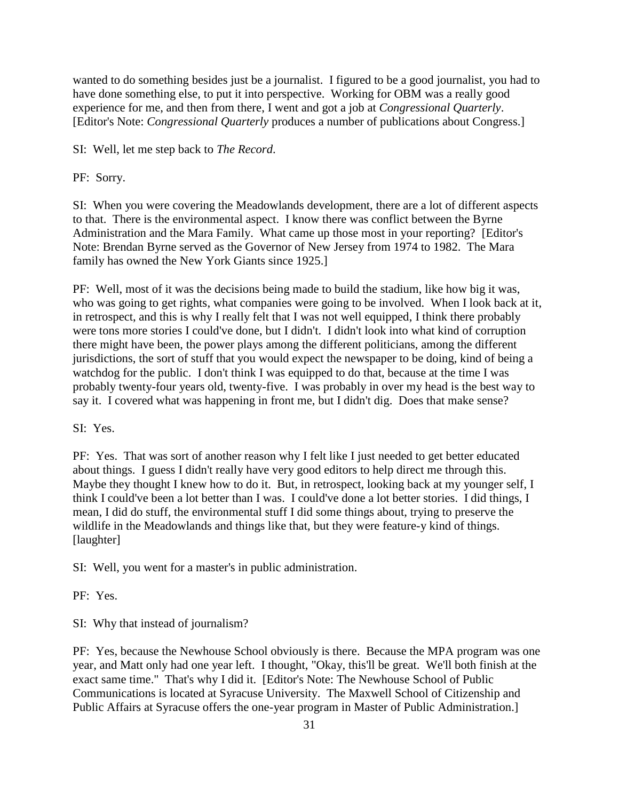wanted to do something besides just be a journalist. I figured to be a good journalist, you had to have done something else, to put it into perspective. Working for OBM was a really good experience for me, and then from there, I went and got a job at *Congressional Quarterly*. [Editor's Note: *Congressional Quarterly* produces a number of publications about Congress.]

SI: Well, let me step back to *The Record*.

PF: Sorry.

SI: When you were covering the Meadowlands development, there are a lot of different aspects to that. There is the environmental aspect. I know there was conflict between the Byrne Administration and the Mara Family. What came up those most in your reporting? [Editor's Note: Brendan Byrne served as the Governor of New Jersey from 1974 to 1982. The Mara family has owned the New York Giants since 1925.]

PF: Well, most of it was the decisions being made to build the stadium, like how big it was, who was going to get rights, what companies were going to be involved. When I look back at it, in retrospect, and this is why I really felt that I was not well equipped, I think there probably were tons more stories I could've done, but I didn't. I didn't look into what kind of corruption there might have been, the power plays among the different politicians, among the different jurisdictions, the sort of stuff that you would expect the newspaper to be doing, kind of being a watchdog for the public. I don't think I was equipped to do that, because at the time I was probably twenty-four years old, twenty-five. I was probably in over my head is the best way to say it. I covered what was happening in front me, but I didn't dig. Does that make sense?

SI: Yes.

PF: Yes. That was sort of another reason why I felt like I just needed to get better educated about things. I guess I didn't really have very good editors to help direct me through this. Maybe they thought I knew how to do it. But, in retrospect, looking back at my younger self, I think I could've been a lot better than I was. I could've done a lot better stories. I did things, I mean, I did do stuff, the environmental stuff I did some things about, trying to preserve the wildlife in the Meadowlands and things like that, but they were feature-y kind of things. [laughter]

SI: Well, you went for a master's in public administration.

PF: Yes.

SI: Why that instead of journalism?

PF: Yes, because the Newhouse School obviously is there. Because the MPA program was one year, and Matt only had one year left. I thought, "Okay, this'll be great. We'll both finish at the exact same time." That's why I did it. [Editor's Note: The Newhouse School of Public Communications is located at Syracuse University. The Maxwell School of Citizenship and Public Affairs at Syracuse offers the one-year program in Master of Public Administration.]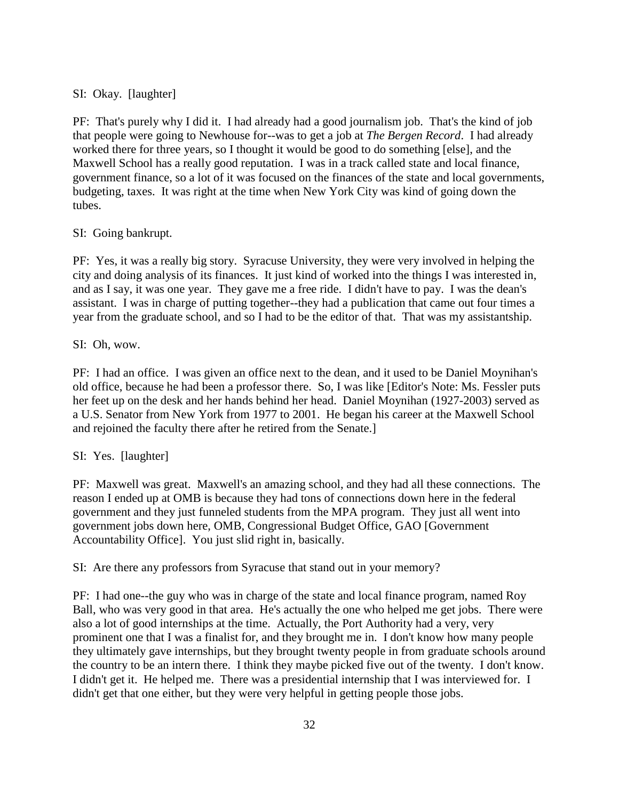## SI: Okay. [laughter]

PF: That's purely why I did it. I had already had a good journalism job. That's the kind of job that people were going to Newhouse for--was to get a job at *The Bergen Record*. I had already worked there for three years, so I thought it would be good to do something [else], and the Maxwell School has a really good reputation. I was in a track called state and local finance, government finance, so a lot of it was focused on the finances of the state and local governments, budgeting, taxes. It was right at the time when New York City was kind of going down the tubes.

### SI: Going bankrupt.

PF: Yes, it was a really big story. Syracuse University, they were very involved in helping the city and doing analysis of its finances. It just kind of worked into the things I was interested in, and as I say, it was one year. They gave me a free ride. I didn't have to pay. I was the dean's assistant. I was in charge of putting together--they had a publication that came out four times a year from the graduate school, and so I had to be the editor of that. That was my assistantship.

SI: Oh, wow.

PF: I had an office. I was given an office next to the dean, and it used to be Daniel Moynihan's old office, because he had been a professor there. So, I was like [Editor's Note: Ms. Fessler puts her feet up on the desk and her hands behind her head. Daniel Moynihan (1927-2003) served as a U.S. Senator from New York from 1977 to 2001. He began his career at the Maxwell School and rejoined the faculty there after he retired from the Senate.]

### SI: Yes. [laughter]

PF: Maxwell was great. Maxwell's an amazing school, and they had all these connections. The reason I ended up at OMB is because they had tons of connections down here in the federal government and they just funneled students from the MPA program. They just all went into government jobs down here, OMB, Congressional Budget Office, GAO [Government Accountability Office]. You just slid right in, basically.

SI: Are there any professors from Syracuse that stand out in your memory?

PF: I had one--the guy who was in charge of the state and local finance program, named Roy Ball, who was very good in that area. He's actually the one who helped me get jobs. There were also a lot of good internships at the time. Actually, the Port Authority had a very, very prominent one that I was a finalist for, and they brought me in. I don't know how many people they ultimately gave internships, but they brought twenty people in from graduate schools around the country to be an intern there. I think they maybe picked five out of the twenty. I don't know. I didn't get it. He helped me. There was a presidential internship that I was interviewed for. I didn't get that one either, but they were very helpful in getting people those jobs.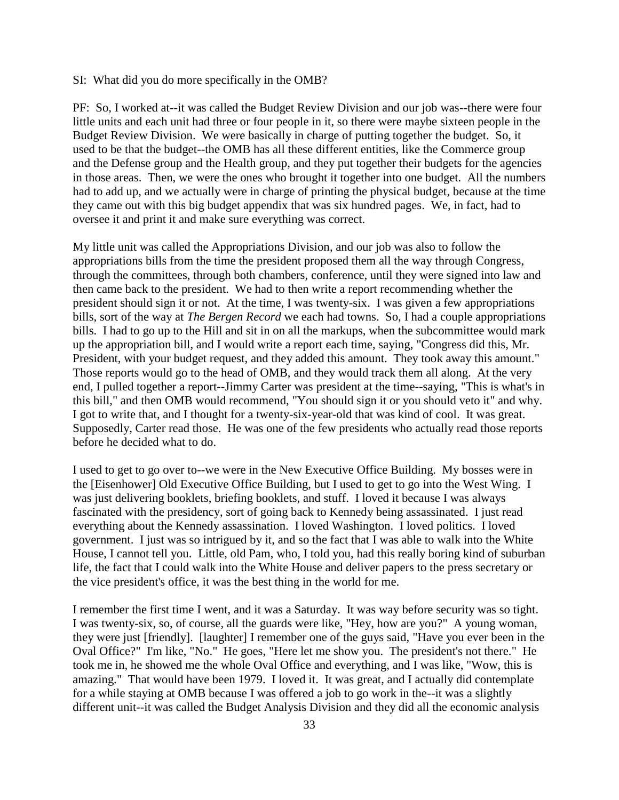### SI: What did you do more specifically in the OMB?

PF: So, I worked at--it was called the Budget Review Division and our job was--there were four little units and each unit had three or four people in it, so there were maybe sixteen people in the Budget Review Division. We were basically in charge of putting together the budget. So, it used to be that the budget--the OMB has all these different entities, like the Commerce group and the Defense group and the Health group, and they put together their budgets for the agencies in those areas. Then, we were the ones who brought it together into one budget. All the numbers had to add up, and we actually were in charge of printing the physical budget, because at the time they came out with this big budget appendix that was six hundred pages. We, in fact, had to oversee it and print it and make sure everything was correct.

My little unit was called the Appropriations Division, and our job was also to follow the appropriations bills from the time the president proposed them all the way through Congress, through the committees, through both chambers, conference, until they were signed into law and then came back to the president. We had to then write a report recommending whether the president should sign it or not. At the time, I was twenty-six. I was given a few appropriations bills, sort of the way at *The Bergen Record* we each had towns. So, I had a couple appropriations bills. I had to go up to the Hill and sit in on all the markups, when the subcommittee would mark up the appropriation bill, and I would write a report each time, saying, "Congress did this, Mr. President, with your budget request, and they added this amount. They took away this amount." Those reports would go to the head of OMB, and they would track them all along. At the very end, I pulled together a report--Jimmy Carter was president at the time--saying, "This is what's in this bill," and then OMB would recommend, "You should sign it or you should veto it" and why. I got to write that, and I thought for a twenty-six-year-old that was kind of cool. It was great. Supposedly, Carter read those. He was one of the few presidents who actually read those reports before he decided what to do.

I used to get to go over to--we were in the New Executive Office Building. My bosses were in the [Eisenhower] Old Executive Office Building, but I used to get to go into the West Wing. I was just delivering booklets, briefing booklets, and stuff. I loved it because I was always fascinated with the presidency, sort of going back to Kennedy being assassinated. I just read everything about the Kennedy assassination. I loved Washington. I loved politics. I loved government. I just was so intrigued by it, and so the fact that I was able to walk into the White House, I cannot tell you. Little, old Pam, who, I told you, had this really boring kind of suburban life, the fact that I could walk into the White House and deliver papers to the press secretary or the vice president's office, it was the best thing in the world for me.

I remember the first time I went, and it was a Saturday. It was way before security was so tight. I was twenty-six, so, of course, all the guards were like, "Hey, how are you?" A young woman, they were just [friendly]. [laughter] I remember one of the guys said, "Have you ever been in the Oval Office?" I'm like, "No." He goes, "Here let me show you. The president's not there." He took me in, he showed me the whole Oval Office and everything, and I was like, "Wow, this is amazing." That would have been 1979. I loved it. It was great, and I actually did contemplate for a while staying at OMB because I was offered a job to go work in the--it was a slightly different unit--it was called the Budget Analysis Division and they did all the economic analysis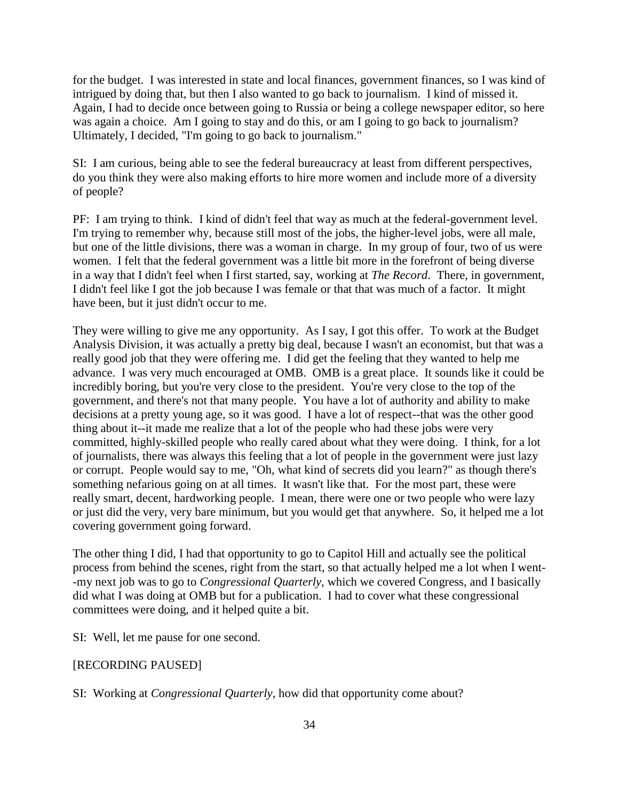for the budget. I was interested in state and local finances, government finances, so I was kind of intrigued by doing that, but then I also wanted to go back to journalism. I kind of missed it. Again, I had to decide once between going to Russia or being a college newspaper editor, so here was again a choice. Am I going to stay and do this, or am I going to go back to journalism? Ultimately, I decided, "I'm going to go back to journalism."

SI: I am curious, being able to see the federal bureaucracy at least from different perspectives, do you think they were also making efforts to hire more women and include more of a diversity of people?

PF: I am trying to think. I kind of didn't feel that way as much at the federal-government level. I'm trying to remember why, because still most of the jobs, the higher-level jobs, were all male, but one of the little divisions, there was a woman in charge. In my group of four, two of us were women. I felt that the federal government was a little bit more in the forefront of being diverse in a way that I didn't feel when I first started, say, working at *The Record*. There, in government, I didn't feel like I got the job because I was female or that that was much of a factor. It might have been, but it just didn't occur to me.

They were willing to give me any opportunity. As I say, I got this offer. To work at the Budget Analysis Division, it was actually a pretty big deal, because I wasn't an economist, but that was a really good job that they were offering me. I did get the feeling that they wanted to help me advance. I was very much encouraged at OMB. OMB is a great place. It sounds like it could be incredibly boring, but you're very close to the president. You're very close to the top of the government, and there's not that many people. You have a lot of authority and ability to make decisions at a pretty young age, so it was good. I have a lot of respect--that was the other good thing about it--it made me realize that a lot of the people who had these jobs were very committed, highly-skilled people who really cared about what they were doing. I think, for a lot of journalists, there was always this feeling that a lot of people in the government were just lazy or corrupt. People would say to me, "Oh, what kind of secrets did you learn?" as though there's something nefarious going on at all times. It wasn't like that. For the most part, these were really smart, decent, hardworking people. I mean, there were one or two people who were lazy or just did the very, very bare minimum, but you would get that anywhere. So, it helped me a lot covering government going forward.

The other thing I did, I had that opportunity to go to Capitol Hill and actually see the political process from behind the scenes, right from the start, so that actually helped me a lot when I went- -my next job was to go to *Congressional Quarterly*, which we covered Congress, and I basically did what I was doing at OMB but for a publication. I had to cover what these congressional committees were doing, and it helped quite a bit.

SI: Well, let me pause for one second.

#### [RECORDING PAUSED]

SI: Working at *Congressional Quarterly*, how did that opportunity come about?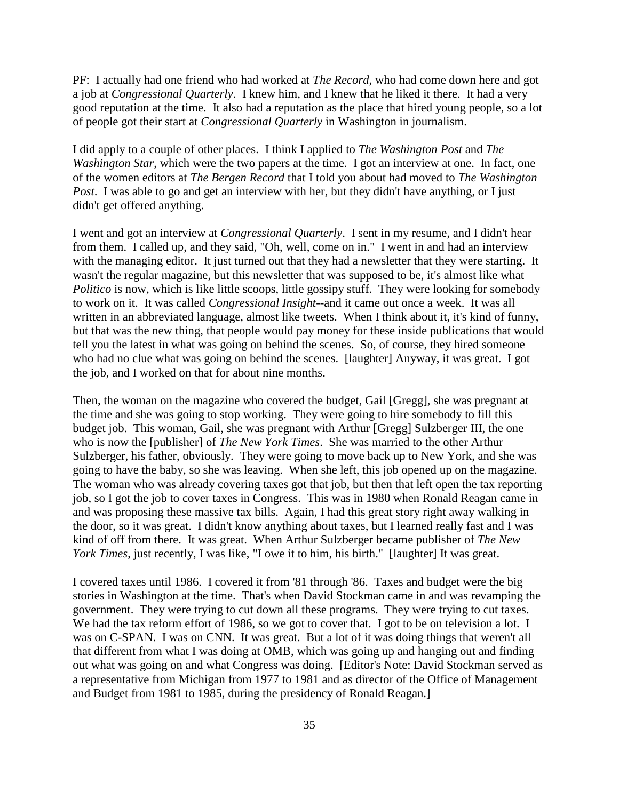PF: I actually had one friend who had worked at *The Record*, who had come down here and got a job at *Congressional Quarterly*. I knew him, and I knew that he liked it there. It had a very good reputation at the time. It also had a reputation as the place that hired young people, so a lot of people got their start at *Congressional Quarterly* in Washington in journalism.

I did apply to a couple of other places. I think I applied to *The Washington Post* and *The Washington Star*, which were the two papers at the time. I got an interview at one. In fact, one of the women editors at *The Bergen Record* that I told you about had moved to *The Washington Post*. I was able to go and get an interview with her, but they didn't have anything, or I just didn't get offered anything.

I went and got an interview at *Congressional Quarterly*. I sent in my resume, and I didn't hear from them. I called up, and they said, "Oh, well, come on in." I went in and had an interview with the managing editor. It just turned out that they had a newsletter that they were starting. It wasn't the regular magazine, but this newsletter that was supposed to be, it's almost like what *Politico* is now, which is like little scoops, little gossipy stuff. They were looking for somebody to work on it. It was called *Congressional Insight*--and it came out once a week. It was all written in an abbreviated language, almost like tweets. When I think about it, it's kind of funny, but that was the new thing, that people would pay money for these inside publications that would tell you the latest in what was going on behind the scenes. So, of course, they hired someone who had no clue what was going on behind the scenes. [laughter] Anyway, it was great. I got the job, and I worked on that for about nine months.

Then, the woman on the magazine who covered the budget, Gail [Gregg], she was pregnant at the time and she was going to stop working. They were going to hire somebody to fill this budget job. This woman, Gail, she was pregnant with Arthur [Gregg] Sulzberger III, the one who is now the [publisher] of *The New York Times*. She was married to the other Arthur Sulzberger, his father, obviously. They were going to move back up to New York, and she was going to have the baby, so she was leaving. When she left, this job opened up on the magazine. The woman who was already covering taxes got that job, but then that left open the tax reporting job, so I got the job to cover taxes in Congress. This was in 1980 when Ronald Reagan came in and was proposing these massive tax bills. Again, I had this great story right away walking in the door, so it was great. I didn't know anything about taxes, but I learned really fast and I was kind of off from there. It was great. When Arthur Sulzberger became publisher of *The New York Times*, just recently, I was like, "I owe it to him, his birth." [laughter] It was great.

I covered taxes until 1986. I covered it from '81 through '86. Taxes and budget were the big stories in Washington at the time. That's when David Stockman came in and was revamping the government. They were trying to cut down all these programs. They were trying to cut taxes. We had the tax reform effort of 1986, so we got to cover that. I got to be on television a lot. I was on C-SPAN. I was on CNN. It was great. But a lot of it was doing things that weren't all that different from what I was doing at OMB, which was going up and hanging out and finding out what was going on and what Congress was doing. [Editor's Note: David Stockman served as a representative from Michigan from 1977 to 1981 and as director of the Office of Management and Budget from 1981 to 1985, during the presidency of Ronald Reagan.]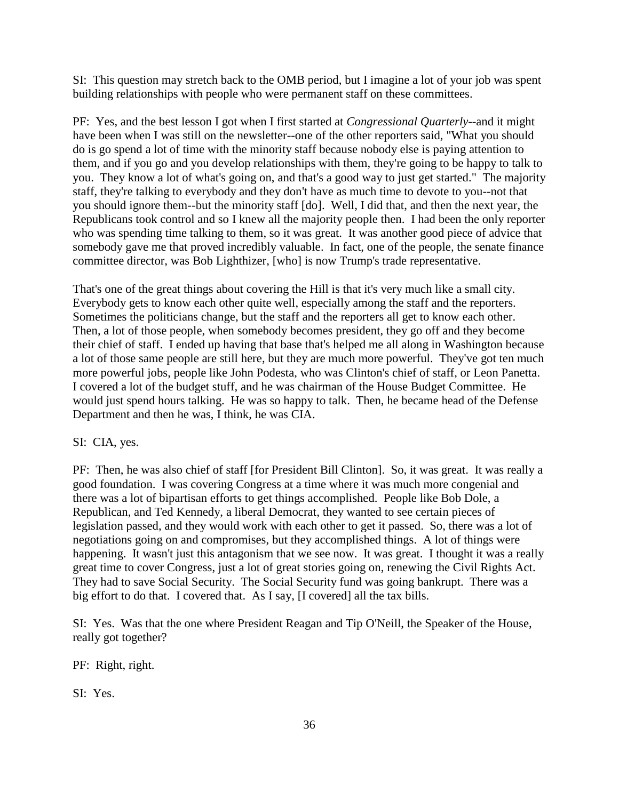SI: This question may stretch back to the OMB period, but I imagine a lot of your job was spent building relationships with people who were permanent staff on these committees.

PF: Yes, and the best lesson I got when I first started at *Congressional Quarterly*--and it might have been when I was still on the newsletter--one of the other reporters said, "What you should do is go spend a lot of time with the minority staff because nobody else is paying attention to them, and if you go and you develop relationships with them, they're going to be happy to talk to you. They know a lot of what's going on, and that's a good way to just get started." The majority staff, they're talking to everybody and they don't have as much time to devote to you--not that you should ignore them--but the minority staff [do]. Well, I did that, and then the next year, the Republicans took control and so I knew all the majority people then. I had been the only reporter who was spending time talking to them, so it was great. It was another good piece of advice that somebody gave me that proved incredibly valuable. In fact, one of the people, the senate finance committee director, was Bob Lighthizer, [who] is now Trump's trade representative.

That's one of the great things about covering the Hill is that it's very much like a small city. Everybody gets to know each other quite well, especially among the staff and the reporters. Sometimes the politicians change, but the staff and the reporters all get to know each other. Then, a lot of those people, when somebody becomes president, they go off and they become their chief of staff. I ended up having that base that's helped me all along in Washington because a lot of those same people are still here, but they are much more powerful. They've got ten much more powerful jobs, people like John Podesta, who was Clinton's chief of staff, or Leon Panetta. I covered a lot of the budget stuff, and he was chairman of the House Budget Committee. He would just spend hours talking. He was so happy to talk. Then, he became head of the Defense Department and then he was, I think, he was CIA.

SI: CIA, yes.

PF: Then, he was also chief of staff [for President Bill Clinton]. So, it was great. It was really a good foundation. I was covering Congress at a time where it was much more congenial and there was a lot of bipartisan efforts to get things accomplished. People like Bob Dole, a Republican, and Ted Kennedy, a liberal Democrat, they wanted to see certain pieces of legislation passed, and they would work with each other to get it passed. So, there was a lot of negotiations going on and compromises, but they accomplished things. A lot of things were happening. It wasn't just this antagonism that we see now. It was great. I thought it was a really great time to cover Congress, just a lot of great stories going on, renewing the Civil Rights Act. They had to save Social Security. The Social Security fund was going bankrupt. There was a big effort to do that. I covered that. As I say, [I covered] all the tax bills.

SI: Yes. Was that the one where President Reagan and Tip O'Neill, the Speaker of the House, really got together?

PF: Right, right.

SI: Yes.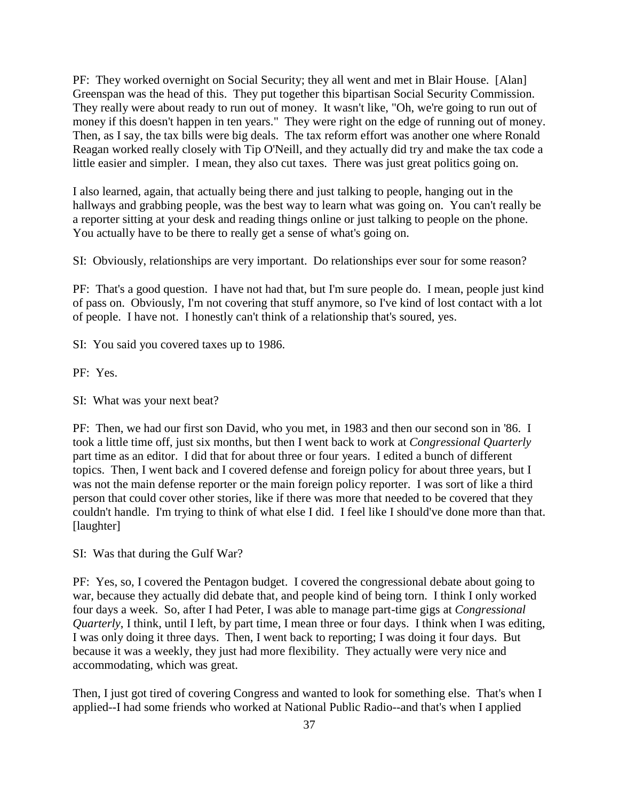PF: They worked overnight on Social Security; they all went and met in Blair House. [Alan] Greenspan was the head of this. They put together this bipartisan Social Security Commission. They really were about ready to run out of money. It wasn't like, "Oh, we're going to run out of money if this doesn't happen in ten years." They were right on the edge of running out of money. Then, as I say, the tax bills were big deals. The tax reform effort was another one where Ronald Reagan worked really closely with Tip O'Neill, and they actually did try and make the tax code a little easier and simpler. I mean, they also cut taxes. There was just great politics going on.

I also learned, again, that actually being there and just talking to people, hanging out in the hallways and grabbing people, was the best way to learn what was going on. You can't really be a reporter sitting at your desk and reading things online or just talking to people on the phone. You actually have to be there to really get a sense of what's going on.

SI: Obviously, relationships are very important. Do relationships ever sour for some reason?

PF: That's a good question. I have not had that, but I'm sure people do. I mean, people just kind of pass on. Obviously, I'm not covering that stuff anymore, so I've kind of lost contact with a lot of people. I have not. I honestly can't think of a relationship that's soured, yes.

SI: You said you covered taxes up to 1986.

PF: Yes.

SI: What was your next beat?

PF: Then, we had our first son David, who you met, in 1983 and then our second son in '86. I took a little time off, just six months, but then I went back to work at *Congressional Quarterly* part time as an editor. I did that for about three or four years. I edited a bunch of different topics. Then, I went back and I covered defense and foreign policy for about three years, but I was not the main defense reporter or the main foreign policy reporter. I was sort of like a third person that could cover other stories, like if there was more that needed to be covered that they couldn't handle. I'm trying to think of what else I did. I feel like I should've done more than that. [laughter]

SI: Was that during the Gulf War?

PF: Yes, so, I covered the Pentagon budget. I covered the congressional debate about going to war, because they actually did debate that, and people kind of being torn. I think I only worked four days a week. So, after I had Peter, I was able to manage part-time gigs at *Congressional Quarterly*, I think, until I left, by part time, I mean three or four days. I think when I was editing, I was only doing it three days. Then, I went back to reporting; I was doing it four days. But because it was a weekly, they just had more flexibility. They actually were very nice and accommodating, which was great.

Then, I just got tired of covering Congress and wanted to look for something else. That's when I applied--I had some friends who worked at National Public Radio--and that's when I applied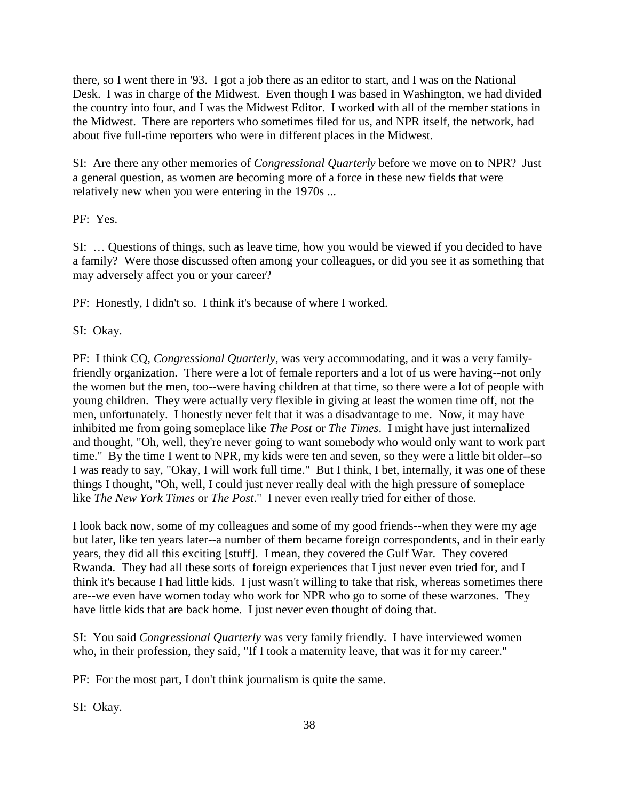there, so I went there in '93. I got a job there as an editor to start, and I was on the National Desk. I was in charge of the Midwest. Even though I was based in Washington, we had divided the country into four, and I was the Midwest Editor. I worked with all of the member stations in the Midwest. There are reporters who sometimes filed for us, and NPR itself, the network, had about five full-time reporters who were in different places in the Midwest.

SI: Are there any other memories of *Congressional Quarterly* before we move on to NPR? Just a general question, as women are becoming more of a force in these new fields that were relatively new when you were entering in the 1970s ...

PF: Yes.

SI: … Questions of things, such as leave time, how you would be viewed if you decided to have a family? Were those discussed often among your colleagues, or did you see it as something that may adversely affect you or your career?

PF: Honestly, I didn't so. I think it's because of where I worked.

SI: Okay.

PF: I think CQ, *Congressional Quarterly,* was very accommodating, and it was a very familyfriendly organization. There were a lot of female reporters and a lot of us were having--not only the women but the men, too--were having children at that time, so there were a lot of people with young children. They were actually very flexible in giving at least the women time off, not the men, unfortunately. I honestly never felt that it was a disadvantage to me. Now, it may have inhibited me from going someplace like *The Post* or *The Times*. I might have just internalized and thought, "Oh, well, they're never going to want somebody who would only want to work part time." By the time I went to NPR, my kids were ten and seven, so they were a little bit older--so I was ready to say, "Okay, I will work full time." But I think, I bet, internally, it was one of these things I thought, "Oh, well, I could just never really deal with the high pressure of someplace like *The New York Times* or *The Post*." I never even really tried for either of those.

I look back now, some of my colleagues and some of my good friends--when they were my age but later, like ten years later--a number of them became foreign correspondents, and in their early years, they did all this exciting [stuff]. I mean, they covered the Gulf War. They covered Rwanda. They had all these sorts of foreign experiences that I just never even tried for, and I think it's because I had little kids. I just wasn't willing to take that risk, whereas sometimes there are--we even have women today who work for NPR who go to some of these warzones. They have little kids that are back home. I just never even thought of doing that.

SI: You said *Congressional Quarterly* was very family friendly. I have interviewed women who, in their profession, they said, "If I took a maternity leave, that was it for my career."

PF: For the most part, I don't think journalism is quite the same.

SI: Okay.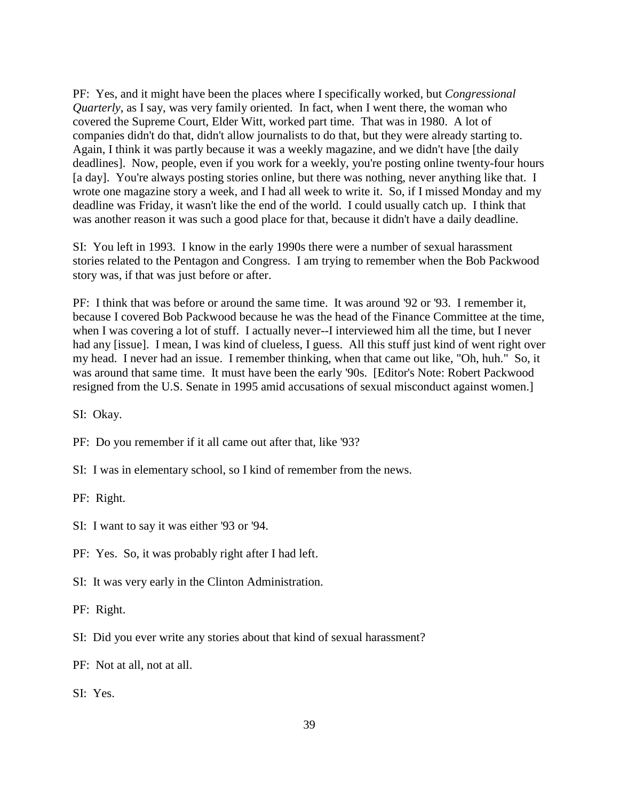PF: Yes, and it might have been the places where I specifically worked, but *Congressional Quarterly*, as I say, was very family oriented. In fact, when I went there, the woman who covered the Supreme Court, Elder Witt, worked part time. That was in 1980. A lot of companies didn't do that, didn't allow journalists to do that, but they were already starting to. Again, I think it was partly because it was a weekly magazine, and we didn't have [the daily deadlines]. Now, people, even if you work for a weekly, you're posting online twenty-four hours [a day]. You're always posting stories online, but there was nothing, never anything like that. I wrote one magazine story a week, and I had all week to write it. So, if I missed Monday and my deadline was Friday, it wasn't like the end of the world. I could usually catch up. I think that was another reason it was such a good place for that, because it didn't have a daily deadline.

SI: You left in 1993. I know in the early 1990s there were a number of sexual harassment stories related to the Pentagon and Congress. I am trying to remember when the Bob Packwood story was, if that was just before or after.

PF: I think that was before or around the same time. It was around '92 or '93. I remember it, because I covered Bob Packwood because he was the head of the Finance Committee at the time, when I was covering a lot of stuff. I actually never--I interviewed him all the time, but I never had any [issue]. I mean, I was kind of clueless, I guess. All this stuff just kind of went right over my head. I never had an issue. I remember thinking, when that came out like, "Oh, huh." So, it was around that same time. It must have been the early '90s. [Editor's Note: Robert Packwood resigned from the U.S. Senate in 1995 amid accusations of sexual misconduct against women.]

SI: Okay.

PF: Do you remember if it all came out after that, like '93?

SI: I was in elementary school, so I kind of remember from the news.

PF: Right.

SI: I want to say it was either '93 or '94.

PF: Yes. So, it was probably right after I had left.

SI: It was very early in the Clinton Administration.

PF: Right.

SI: Did you ever write any stories about that kind of sexual harassment?

PF: Not at all, not at all.

SI: Yes.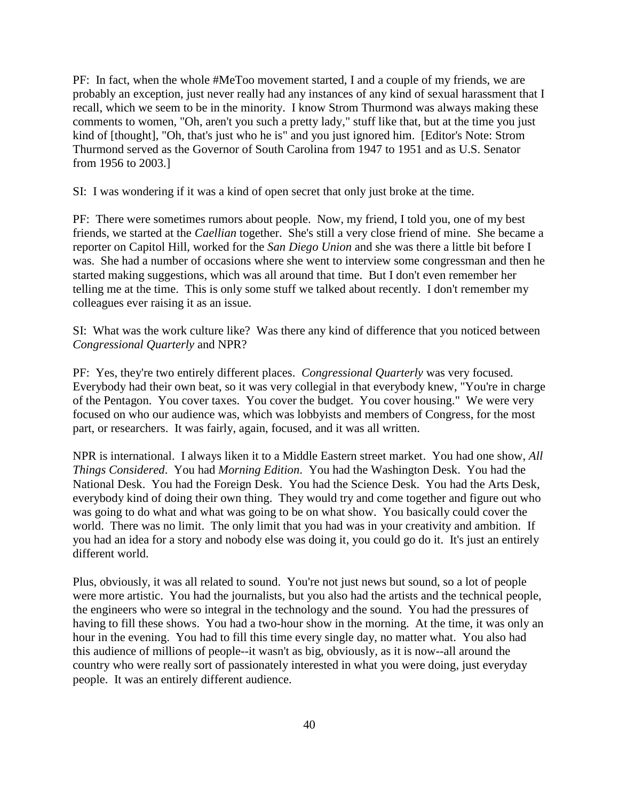PF: In fact, when the whole #MeToo movement started, I and a couple of my friends, we are probably an exception, just never really had any instances of any kind of sexual harassment that I recall, which we seem to be in the minority. I know Strom Thurmond was always making these comments to women, "Oh, aren't you such a pretty lady," stuff like that, but at the time you just kind of [thought], "Oh, that's just who he is" and you just ignored him. [Editor's Note: Strom Thurmond served as the Governor of South Carolina from 1947 to 1951 and as U.S. Senator from 1956 to 2003.]

SI: I was wondering if it was a kind of open secret that only just broke at the time.

PF: There were sometimes rumors about people. Now, my friend, I told you, one of my best friends, we started at the *Caellian* together. She's still a very close friend of mine. She became a reporter on Capitol Hill, worked for the *San Diego Union* and she was there a little bit before I was. She had a number of occasions where she went to interview some congressman and then he started making suggestions, which was all around that time. But I don't even remember her telling me at the time. This is only some stuff we talked about recently. I don't remember my colleagues ever raising it as an issue.

SI: What was the work culture like? Was there any kind of difference that you noticed between *Congressional Quarterly* and NPR?

PF: Yes, they're two entirely different places. *Congressional Quarterly* was very focused. Everybody had their own beat, so it was very collegial in that everybody knew, "You're in charge of the Pentagon. You cover taxes. You cover the budget. You cover housing." We were very focused on who our audience was, which was lobbyists and members of Congress, for the most part, or researchers. It was fairly, again, focused, and it was all written.

NPR is international. I always liken it to a Middle Eastern street market. You had one show, *All Things Considered*. You had *Morning Edition*. You had the Washington Desk. You had the National Desk. You had the Foreign Desk. You had the Science Desk. You had the Arts Desk, everybody kind of doing their own thing. They would try and come together and figure out who was going to do what and what was going to be on what show. You basically could cover the world. There was no limit. The only limit that you had was in your creativity and ambition. If you had an idea for a story and nobody else was doing it, you could go do it. It's just an entirely different world.

Plus, obviously, it was all related to sound. You're not just news but sound, so a lot of people were more artistic. You had the journalists, but you also had the artists and the technical people, the engineers who were so integral in the technology and the sound. You had the pressures of having to fill these shows. You had a two-hour show in the morning. At the time, it was only an hour in the evening. You had to fill this time every single day, no matter what. You also had this audience of millions of people--it wasn't as big, obviously, as it is now--all around the country who were really sort of passionately interested in what you were doing, just everyday people. It was an entirely different audience.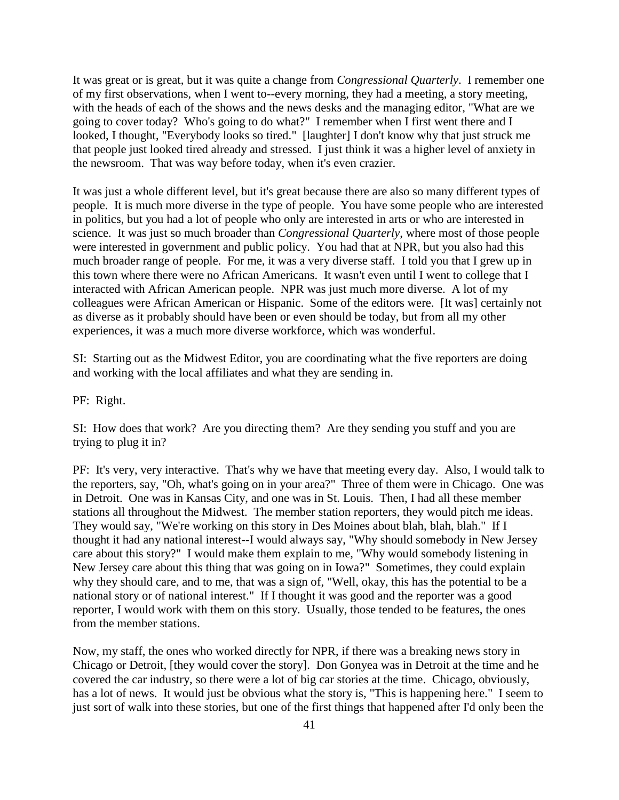It was great or is great, but it was quite a change from *Congressional Quarterly*. I remember one of my first observations, when I went to--every morning, they had a meeting, a story meeting, with the heads of each of the shows and the news desks and the managing editor, "What are we going to cover today? Who's going to do what?" I remember when I first went there and I looked, I thought, "Everybody looks so tired." [laughter] I don't know why that just struck me that people just looked tired already and stressed. I just think it was a higher level of anxiety in the newsroom. That was way before today, when it's even crazier.

It was just a whole different level, but it's great because there are also so many different types of people. It is much more diverse in the type of people. You have some people who are interested in politics, but you had a lot of people who only are interested in arts or who are interested in science. It was just so much broader than *Congressional Quarterly*, where most of those people were interested in government and public policy. You had that at NPR, but you also had this much broader range of people. For me, it was a very diverse staff. I told you that I grew up in this town where there were no African Americans. It wasn't even until I went to college that I interacted with African American people. NPR was just much more diverse. A lot of my colleagues were African American or Hispanic. Some of the editors were. [It was] certainly not as diverse as it probably should have been or even should be today, but from all my other experiences, it was a much more diverse workforce, which was wonderful.

SI: Starting out as the Midwest Editor, you are coordinating what the five reporters are doing and working with the local affiliates and what they are sending in.

PF: Right.

SI: How does that work? Are you directing them? Are they sending you stuff and you are trying to plug it in?

PF: It's very, very interactive. That's why we have that meeting every day. Also, I would talk to the reporters, say, "Oh, what's going on in your area?" Three of them were in Chicago. One was in Detroit. One was in Kansas City, and one was in St. Louis. Then, I had all these member stations all throughout the Midwest. The member station reporters, they would pitch me ideas. They would say, "We're working on this story in Des Moines about blah, blah, blah." If I thought it had any national interest--I would always say, "Why should somebody in New Jersey care about this story?" I would make them explain to me, "Why would somebody listening in New Jersey care about this thing that was going on in Iowa?" Sometimes, they could explain why they should care, and to me, that was a sign of, "Well, okay, this has the potential to be a national story or of national interest." If I thought it was good and the reporter was a good reporter, I would work with them on this story. Usually, those tended to be features, the ones from the member stations.

Now, my staff, the ones who worked directly for NPR, if there was a breaking news story in Chicago or Detroit, [they would cover the story]. Don Gonyea was in Detroit at the time and he covered the car industry, so there were a lot of big car stories at the time. Chicago, obviously, has a lot of news. It would just be obvious what the story is, "This is happening here." I seem to just sort of walk into these stories, but one of the first things that happened after I'd only been the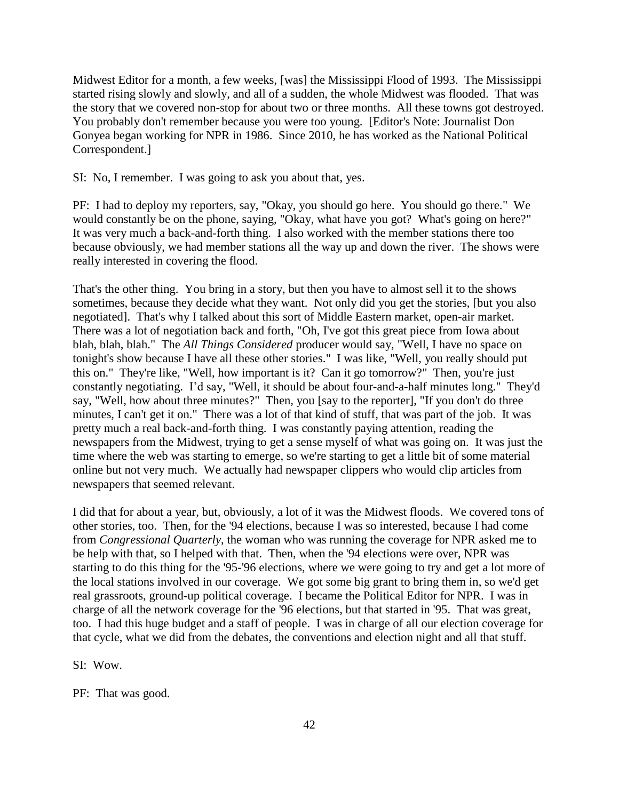Midwest Editor for a month, a few weeks, [was] the Mississippi Flood of 1993. The Mississippi started rising slowly and slowly, and all of a sudden, the whole Midwest was flooded. That was the story that we covered non-stop for about two or three months. All these towns got destroyed. You probably don't remember because you were too young. [Editor's Note: Journalist Don Gonyea began working for NPR in 1986. Since 2010, he has worked as the National Political Correspondent.]

SI: No, I remember. I was going to ask you about that, yes.

PF: I had to deploy my reporters, say, "Okay, you should go here. You should go there." We would constantly be on the phone, saying, "Okay, what have you got? What's going on here?" It was very much a back-and-forth thing. I also worked with the member stations there too because obviously, we had member stations all the way up and down the river. The shows were really interested in covering the flood.

That's the other thing. You bring in a story, but then you have to almost sell it to the shows sometimes, because they decide what they want. Not only did you get the stories, [but you also negotiated]. That's why I talked about this sort of Middle Eastern market, open-air market. There was a lot of negotiation back and forth, "Oh, I've got this great piece from Iowa about blah, blah, blah." The *All Things Considered* producer would say, "Well, I have no space on tonight's show because I have all these other stories." I was like, "Well, you really should put this on." They're like, "Well, how important is it? Can it go tomorrow?" Then, you're just constantly negotiating. I'd say, "Well, it should be about four-and-a-half minutes long." They'd say, "Well, how about three minutes?" Then, you [say to the reporter], "If you don't do three minutes, I can't get it on." There was a lot of that kind of stuff, that was part of the job. It was pretty much a real back-and-forth thing. I was constantly paying attention, reading the newspapers from the Midwest, trying to get a sense myself of what was going on. It was just the time where the web was starting to emerge, so we're starting to get a little bit of some material online but not very much. We actually had newspaper clippers who would clip articles from newspapers that seemed relevant.

I did that for about a year, but, obviously, a lot of it was the Midwest floods. We covered tons of other stories, too. Then, for the '94 elections, because I was so interested, because I had come from *Congressional Quarterly*, the woman who was running the coverage for NPR asked me to be help with that, so I helped with that. Then, when the '94 elections were over, NPR was starting to do this thing for the '95-'96 elections, where we were going to try and get a lot more of the local stations involved in our coverage. We got some big grant to bring them in, so we'd get real grassroots, ground-up political coverage. I became the Political Editor for NPR. I was in charge of all the network coverage for the '96 elections, but that started in '95. That was great, too. I had this huge budget and a staff of people. I was in charge of all our election coverage for that cycle, what we did from the debates, the conventions and election night and all that stuff.

SI: Wow.

PF: That was good.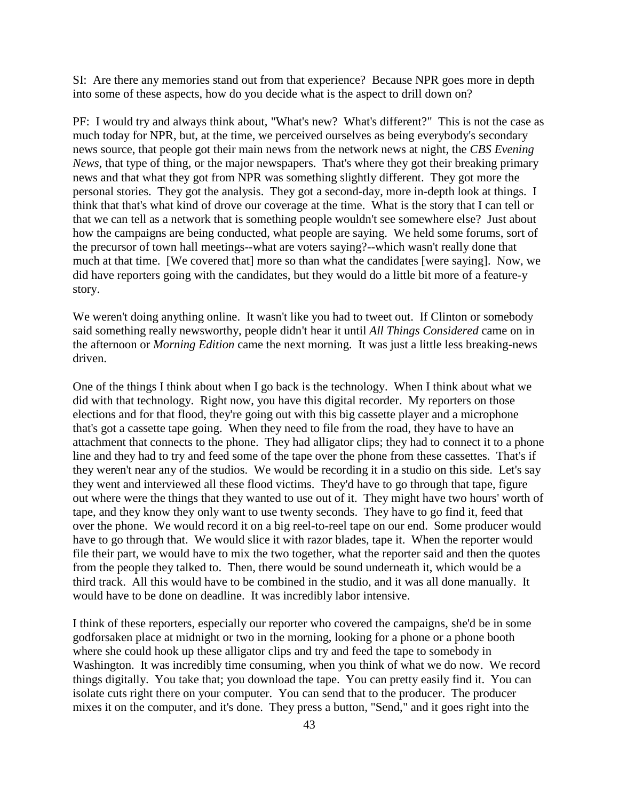SI: Are there any memories stand out from that experience? Because NPR goes more in depth into some of these aspects, how do you decide what is the aspect to drill down on?

PF: I would try and always think about, "What's new? What's different?" This is not the case as much today for NPR, but, at the time, we perceived ourselves as being everybody's secondary news source, that people got their main news from the network news at night, the *CBS Evening News*, that type of thing, or the major newspapers. That's where they got their breaking primary news and that what they got from NPR was something slightly different. They got more the personal stories. They got the analysis. They got a second-day, more in-depth look at things. I think that that's what kind of drove our coverage at the time. What is the story that I can tell or that we can tell as a network that is something people wouldn't see somewhere else? Just about how the campaigns are being conducted, what people are saying. We held some forums, sort of the precursor of town hall meetings--what are voters saying?--which wasn't really done that much at that time. [We covered that] more so than what the candidates [were saying]. Now, we did have reporters going with the candidates, but they would do a little bit more of a feature-y story.

We weren't doing anything online. It wasn't like you had to tweet out. If Clinton or somebody said something really newsworthy, people didn't hear it until *All Things Considered* came on in the afternoon or *Morning Edition* came the next morning. It was just a little less breaking-news driven.

One of the things I think about when I go back is the technology. When I think about what we did with that technology. Right now, you have this digital recorder. My reporters on those elections and for that flood, they're going out with this big cassette player and a microphone that's got a cassette tape going. When they need to file from the road, they have to have an attachment that connects to the phone. They had alligator clips; they had to connect it to a phone line and they had to try and feed some of the tape over the phone from these cassettes. That's if they weren't near any of the studios. We would be recording it in a studio on this side. Let's say they went and interviewed all these flood victims. They'd have to go through that tape, figure out where were the things that they wanted to use out of it. They might have two hours' worth of tape, and they know they only want to use twenty seconds. They have to go find it, feed that over the phone. We would record it on a big reel-to-reel tape on our end. Some producer would have to go through that. We would slice it with razor blades, tape it. When the reporter would file their part, we would have to mix the two together, what the reporter said and then the quotes from the people they talked to. Then, there would be sound underneath it, which would be a third track. All this would have to be combined in the studio, and it was all done manually. It would have to be done on deadline. It was incredibly labor intensive.

I think of these reporters, especially our reporter who covered the campaigns, she'd be in some godforsaken place at midnight or two in the morning, looking for a phone or a phone booth where she could hook up these alligator clips and try and feed the tape to somebody in Washington. It was incredibly time consuming, when you think of what we do now. We record things digitally. You take that; you download the tape. You can pretty easily find it. You can isolate cuts right there on your computer. You can send that to the producer. The producer mixes it on the computer, and it's done. They press a button, "Send," and it goes right into the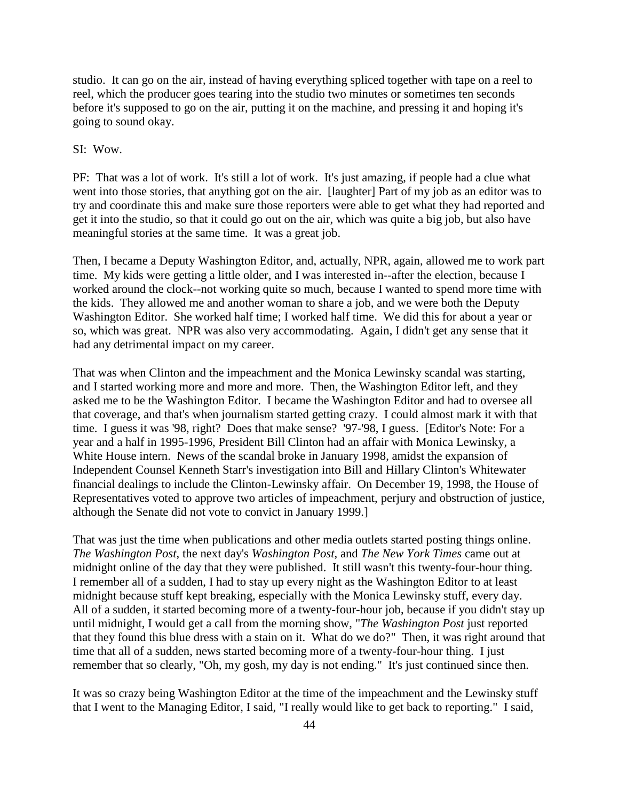studio. It can go on the air, instead of having everything spliced together with tape on a reel to reel, which the producer goes tearing into the studio two minutes or sometimes ten seconds before it's supposed to go on the air, putting it on the machine, and pressing it and hoping it's going to sound okay.

### SI: Wow.

PF: That was a lot of work. It's still a lot of work. It's just amazing, if people had a clue what went into those stories, that anything got on the air. [laughter] Part of my job as an editor was to try and coordinate this and make sure those reporters were able to get what they had reported and get it into the studio, so that it could go out on the air, which was quite a big job, but also have meaningful stories at the same time. It was a great job.

Then, I became a Deputy Washington Editor, and, actually, NPR, again, allowed me to work part time. My kids were getting a little older, and I was interested in--after the election, because I worked around the clock--not working quite so much, because I wanted to spend more time with the kids. They allowed me and another woman to share a job, and we were both the Deputy Washington Editor. She worked half time; I worked half time. We did this for about a year or so, which was great. NPR was also very accommodating. Again, I didn't get any sense that it had any detrimental impact on my career.

That was when Clinton and the impeachment and the Monica Lewinsky scandal was starting, and I started working more and more and more. Then, the Washington Editor left, and they asked me to be the Washington Editor. I became the Washington Editor and had to oversee all that coverage, and that's when journalism started getting crazy. I could almost mark it with that time. I guess it was '98, right? Does that make sense? '97-'98, I guess. [Editor's Note: For a year and a half in 1995-1996, President Bill Clinton had an affair with Monica Lewinsky, a White House intern. News of the scandal broke in January 1998, amidst the expansion of Independent Counsel Kenneth Starr's investigation into Bill and Hillary Clinton's Whitewater financial dealings to include the Clinton-Lewinsky affair. On December 19, 1998, the House of Representatives voted to approve two articles of impeachment, perjury and obstruction of justice, although the Senate did not vote to convict in January 1999.]

That was just the time when publications and other media outlets started posting things online. *The Washington Post*, the next day's *Washington Post*, and *The New York Times* came out at midnight online of the day that they were published. It still wasn't this twenty-four-hour thing. I remember all of a sudden, I had to stay up every night as the Washington Editor to at least midnight because stuff kept breaking, especially with the Monica Lewinsky stuff, every day. All of a sudden, it started becoming more of a twenty-four-hour job, because if you didn't stay up until midnight, I would get a call from the morning show, "*The Washington Post* just reported that they found this blue dress with a stain on it. What do we do?" Then, it was right around that time that all of a sudden, news started becoming more of a twenty-four-hour thing. I just remember that so clearly, "Oh, my gosh, my day is not ending." It's just continued since then.

It was so crazy being Washington Editor at the time of the impeachment and the Lewinsky stuff that I went to the Managing Editor, I said, "I really would like to get back to reporting." I said,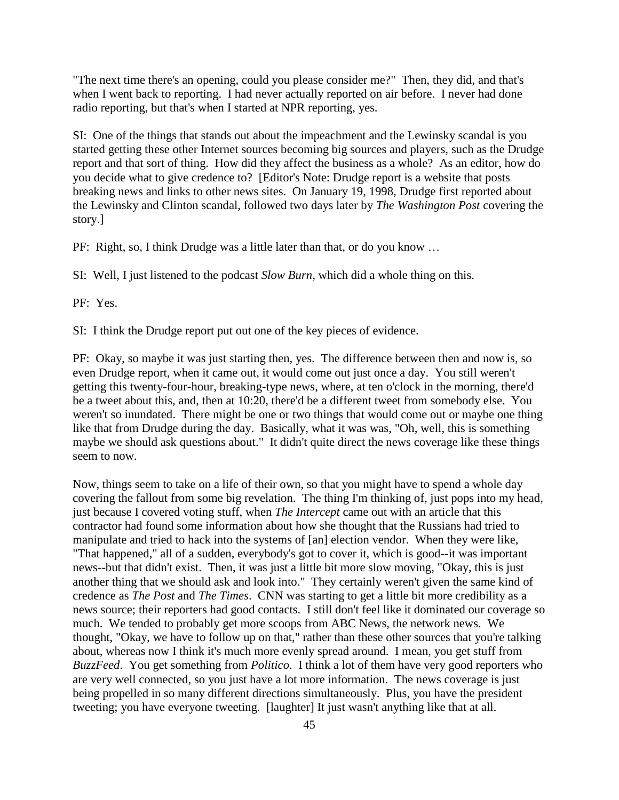"The next time there's an opening, could you please consider me?" Then, they did, and that's when I went back to reporting. I had never actually reported on air before. I never had done radio reporting, but that's when I started at NPR reporting, yes.

SI: One of the things that stands out about the impeachment and the Lewinsky scandal is you started getting these other Internet sources becoming big sources and players, such as the Drudge report and that sort of thing. How did they affect the business as a whole? As an editor, how do you decide what to give credence to? [Editor's Note: Drudge report is a website that posts breaking news and links to other news sites. On January 19, 1998, Drudge first reported about the Lewinsky and Clinton scandal, followed two days later by *The Washington Post* covering the story.]

PF: Right, so, I think Drudge was a little later than that, or do you know …

SI: Well, I just listened to the podcast *Slow Burn*, which did a whole thing on this.

PF: Yes.

SI: I think the Drudge report put out one of the key pieces of evidence.

PF: Okay, so maybe it was just starting then, yes. The difference between then and now is, so even Drudge report, when it came out, it would come out just once a day. You still weren't getting this twenty-four-hour, breaking-type news, where, at ten o'clock in the morning, there'd be a tweet about this, and, then at 10:20, there'd be a different tweet from somebody else. You weren't so inundated. There might be one or two things that would come out or maybe one thing like that from Drudge during the day. Basically, what it was was, "Oh, well, this is something maybe we should ask questions about." It didn't quite direct the news coverage like these things seem to now.

Now, things seem to take on a life of their own, so that you might have to spend a whole day covering the fallout from some big revelation. The thing I'm thinking of, just pops into my head, just because I covered voting stuff, when *The Intercept* came out with an article that this contractor had found some information about how she thought that the Russians had tried to manipulate and tried to hack into the systems of [an] election vendor. When they were like, "That happened," all of a sudden, everybody's got to cover it, which is good--it was important news--but that didn't exist. Then, it was just a little bit more slow moving, "Okay, this is just another thing that we should ask and look into." They certainly weren't given the same kind of credence as *The Post* and *The Times*. CNN was starting to get a little bit more credibility as a news source; their reporters had good contacts. I still don't feel like it dominated our coverage so much. We tended to probably get more scoops from ABC News, the network news. We thought, "Okay, we have to follow up on that," rather than these other sources that you're talking about, whereas now I think it's much more evenly spread around. I mean, you get stuff from *BuzzFeed*. You get something from *Politico*. I think a lot of them have very good reporters who are very well connected, so you just have a lot more information. The news coverage is just being propelled in so many different directions simultaneously. Plus, you have the president tweeting; you have everyone tweeting. [laughter] It just wasn't anything like that at all.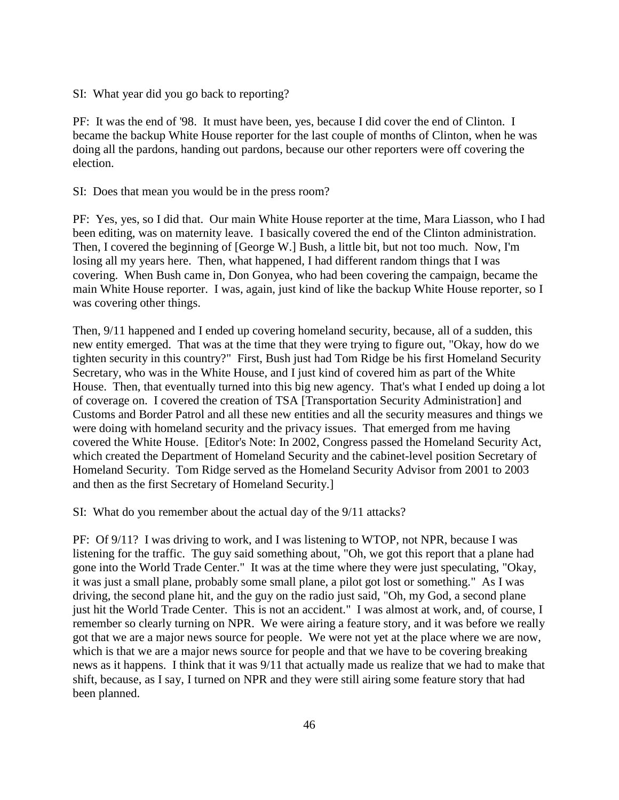SI: What year did you go back to reporting?

PF: It was the end of '98. It must have been, yes, because I did cover the end of Clinton. I became the backup White House reporter for the last couple of months of Clinton, when he was doing all the pardons, handing out pardons, because our other reporters were off covering the election.

SI: Does that mean you would be in the press room?

PF: Yes, yes, so I did that. Our main White House reporter at the time, Mara Liasson, who I had been editing, was on maternity leave. I basically covered the end of the Clinton administration. Then, I covered the beginning of [George W.] Bush, a little bit, but not too much. Now, I'm losing all my years here. Then, what happened, I had different random things that I was covering. When Bush came in, Don Gonyea, who had been covering the campaign, became the main White House reporter. I was, again, just kind of like the backup White House reporter, so I was covering other things.

Then, 9/11 happened and I ended up covering homeland security, because, all of a sudden, this new entity emerged. That was at the time that they were trying to figure out, "Okay, how do we tighten security in this country?" First, Bush just had Tom Ridge be his first Homeland Security Secretary, who was in the White House, and I just kind of covered him as part of the White House. Then, that eventually turned into this big new agency. That's what I ended up doing a lot of coverage on. I covered the creation of TSA [Transportation Security Administration] and Customs and Border Patrol and all these new entities and all the security measures and things we were doing with homeland security and the privacy issues. That emerged from me having covered the White House. [Editor's Note: In 2002, Congress passed the Homeland Security Act, which created the Department of Homeland Security and the cabinet-level position Secretary of Homeland Security. Tom Ridge served as the Homeland Security Advisor from 2001 to 2003 and then as the first Secretary of Homeland Security.]

SI: What do you remember about the actual day of the 9/11 attacks?

PF: Of 9/11? I was driving to work, and I was listening to WTOP, not NPR, because I was listening for the traffic. The guy said something about, "Oh, we got this report that a plane had gone into the World Trade Center." It was at the time where they were just speculating, "Okay, it was just a small plane, probably some small plane, a pilot got lost or something." As I was driving, the second plane hit, and the guy on the radio just said, "Oh, my God, a second plane just hit the World Trade Center. This is not an accident." I was almost at work, and, of course, I remember so clearly turning on NPR. We were airing a feature story, and it was before we really got that we are a major news source for people. We were not yet at the place where we are now, which is that we are a major news source for people and that we have to be covering breaking news as it happens. I think that it was 9/11 that actually made us realize that we had to make that shift, because, as I say, I turned on NPR and they were still airing some feature story that had been planned.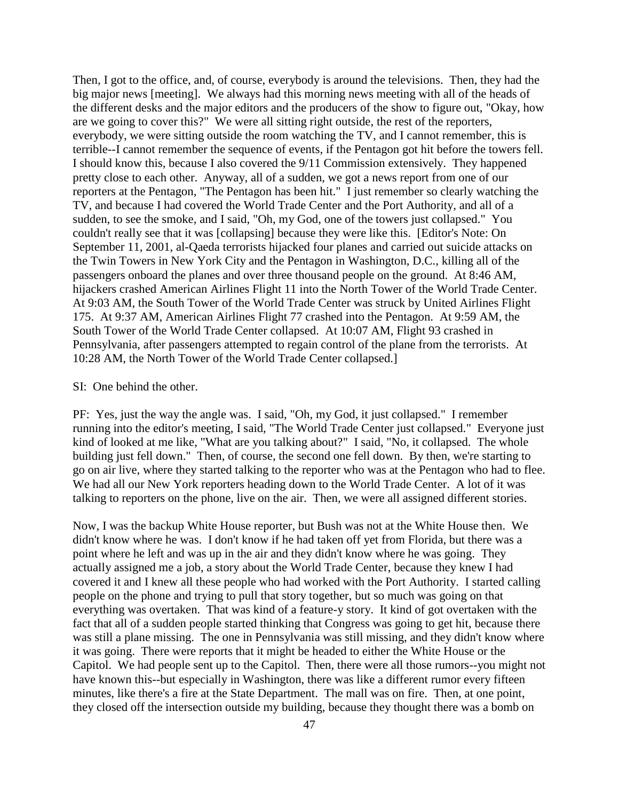Then, I got to the office, and, of course, everybody is around the televisions. Then, they had the big major news [meeting]. We always had this morning news meeting with all of the heads of the different desks and the major editors and the producers of the show to figure out, "Okay, how are we going to cover this?" We were all sitting right outside, the rest of the reporters, everybody, we were sitting outside the room watching the TV, and I cannot remember, this is terrible--I cannot remember the sequence of events, if the Pentagon got hit before the towers fell. I should know this, because I also covered the 9/11 Commission extensively. They happened pretty close to each other. Anyway, all of a sudden, we got a news report from one of our reporters at the Pentagon, "The Pentagon has been hit." I just remember so clearly watching the TV, and because I had covered the World Trade Center and the Port Authority, and all of a sudden, to see the smoke, and I said, "Oh, my God, one of the towers just collapsed." You couldn't really see that it was [collapsing] because they were like this. [Editor's Note: On September 11, 2001, al-Qaeda terrorists hijacked four planes and carried out suicide attacks on the Twin Towers in New York City and the Pentagon in Washington, D.C., killing all of the passengers onboard the planes and over three thousand people on the ground. At 8:46 AM, hijackers crashed American Airlines Flight 11 into the North Tower of the World Trade Center. At 9:03 AM, the South Tower of the World Trade Center was struck by United Airlines Flight 175. At 9:37 AM, American Airlines Flight 77 crashed into the Pentagon. At 9:59 AM, the South Tower of the World Trade Center collapsed. At 10:07 AM, Flight 93 crashed in Pennsylvania, after passengers attempted to regain control of the plane from the terrorists. At 10:28 AM, the North Tower of the World Trade Center collapsed.]

#### SI: One behind the other.

PF: Yes, just the way the angle was. I said, "Oh, my God, it just collapsed." I remember running into the editor's meeting, I said, "The World Trade Center just collapsed." Everyone just kind of looked at me like, "What are you talking about?" I said, "No, it collapsed. The whole building just fell down." Then, of course, the second one fell down. By then, we're starting to go on air live, where they started talking to the reporter who was at the Pentagon who had to flee. We had all our New York reporters heading down to the World Trade Center. A lot of it was talking to reporters on the phone, live on the air. Then, we were all assigned different stories.

Now, I was the backup White House reporter, but Bush was not at the White House then. We didn't know where he was. I don't know if he had taken off yet from Florida, but there was a point where he left and was up in the air and they didn't know where he was going. They actually assigned me a job, a story about the World Trade Center, because they knew I had covered it and I knew all these people who had worked with the Port Authority. I started calling people on the phone and trying to pull that story together, but so much was going on that everything was overtaken. That was kind of a feature-y story. It kind of got overtaken with the fact that all of a sudden people started thinking that Congress was going to get hit, because there was still a plane missing. The one in Pennsylvania was still missing, and they didn't know where it was going. There were reports that it might be headed to either the White House or the Capitol. We had people sent up to the Capitol. Then, there were all those rumors--you might not have known this--but especially in Washington, there was like a different rumor every fifteen minutes, like there's a fire at the State Department. The mall was on fire. Then, at one point, they closed off the intersection outside my building, because they thought there was a bomb on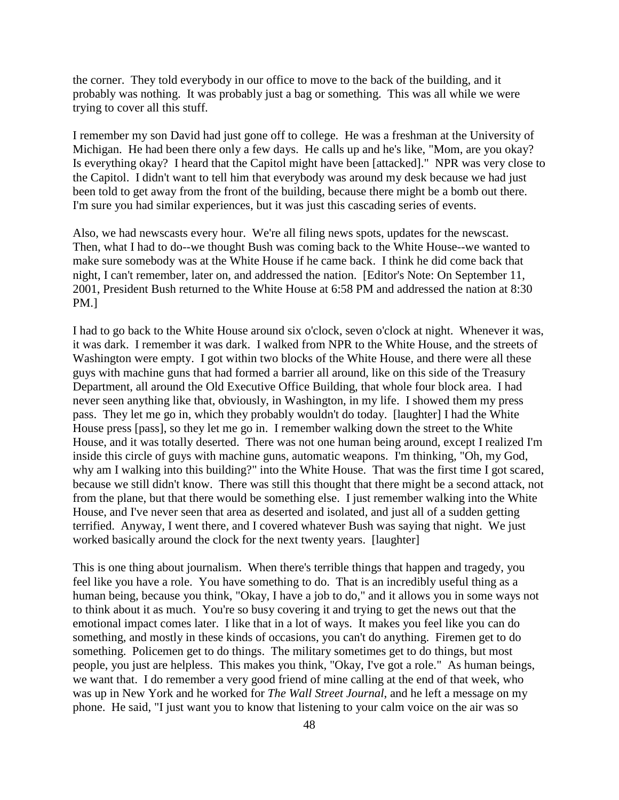the corner. They told everybody in our office to move to the back of the building, and it probably was nothing. It was probably just a bag or something. This was all while we were trying to cover all this stuff.

I remember my son David had just gone off to college. He was a freshman at the University of Michigan. He had been there only a few days. He calls up and he's like, "Mom, are you okay? Is everything okay? I heard that the Capitol might have been [attacked]." NPR was very close to the Capitol. I didn't want to tell him that everybody was around my desk because we had just been told to get away from the front of the building, because there might be a bomb out there. I'm sure you had similar experiences, but it was just this cascading series of events.

Also, we had newscasts every hour. We're all filing news spots, updates for the newscast. Then, what I had to do--we thought Bush was coming back to the White House--we wanted to make sure somebody was at the White House if he came back. I think he did come back that night, I can't remember, later on, and addressed the nation. [Editor's Note: On September 11, 2001, President Bush returned to the White House at 6:58 PM and addressed the nation at 8:30 PM.]

I had to go back to the White House around six o'clock, seven o'clock at night. Whenever it was, it was dark. I remember it was dark. I walked from NPR to the White House, and the streets of Washington were empty. I got within two blocks of the White House, and there were all these guys with machine guns that had formed a barrier all around, like on this side of the Treasury Department, all around the Old Executive Office Building, that whole four block area. I had never seen anything like that, obviously, in Washington, in my life. I showed them my press pass. They let me go in, which they probably wouldn't do today. [laughter] I had the White House press [pass], so they let me go in. I remember walking down the street to the White House, and it was totally deserted. There was not one human being around, except I realized I'm inside this circle of guys with machine guns, automatic weapons. I'm thinking, "Oh, my God, why am I walking into this building?" into the White House. That was the first time I got scared, because we still didn't know. There was still this thought that there might be a second attack, not from the plane, but that there would be something else. I just remember walking into the White House, and I've never seen that area as deserted and isolated, and just all of a sudden getting terrified. Anyway, I went there, and I covered whatever Bush was saying that night. We just worked basically around the clock for the next twenty years. [laughter]

This is one thing about journalism. When there's terrible things that happen and tragedy, you feel like you have a role. You have something to do. That is an incredibly useful thing as a human being, because you think, "Okay, I have a job to do," and it allows you in some ways not to think about it as much. You're so busy covering it and trying to get the news out that the emotional impact comes later. I like that in a lot of ways. It makes you feel like you can do something, and mostly in these kinds of occasions, you can't do anything. Firemen get to do something. Policemen get to do things. The military sometimes get to do things, but most people, you just are helpless. This makes you think, "Okay, I've got a role." As human beings, we want that. I do remember a very good friend of mine calling at the end of that week, who was up in New York and he worked for *The Wall Street Journal*, and he left a message on my phone. He said, "I just want you to know that listening to your calm voice on the air was so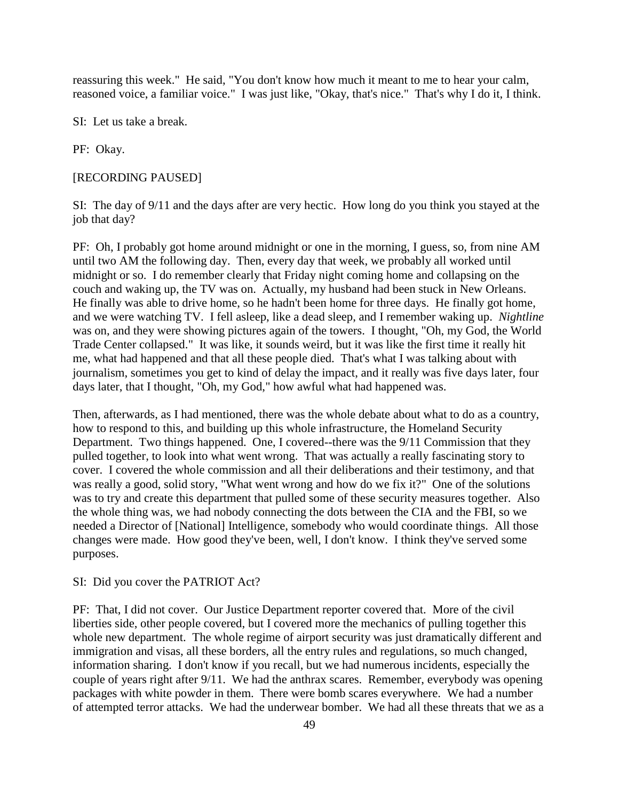reassuring this week." He said, "You don't know how much it meant to me to hear your calm, reasoned voice, a familiar voice." I was just like, "Okay, that's nice." That's why I do it, I think.

SI: Let us take a break.

PF: Okay.

#### [RECORDING PAUSED]

SI: The day of 9/11 and the days after are very hectic. How long do you think you stayed at the job that day?

PF: Oh, I probably got home around midnight or one in the morning, I guess, so, from nine AM until two AM the following day. Then, every day that week, we probably all worked until midnight or so. I do remember clearly that Friday night coming home and collapsing on the couch and waking up, the TV was on. Actually, my husband had been stuck in New Orleans. He finally was able to drive home, so he hadn't been home for three days. He finally got home, and we were watching TV. I fell asleep, like a dead sleep, and I remember waking up. *Nightline* was on, and they were showing pictures again of the towers. I thought, "Oh, my God, the World Trade Center collapsed." It was like, it sounds weird, but it was like the first time it really hit me, what had happened and that all these people died. That's what I was talking about with journalism, sometimes you get to kind of delay the impact, and it really was five days later, four days later, that I thought, "Oh, my God," how awful what had happened was.

Then, afterwards, as I had mentioned, there was the whole debate about what to do as a country, how to respond to this, and building up this whole infrastructure, the Homeland Security Department. Two things happened. One, I covered--there was the 9/11 Commission that they pulled together, to look into what went wrong. That was actually a really fascinating story to cover. I covered the whole commission and all their deliberations and their testimony, and that was really a good, solid story, "What went wrong and how do we fix it?" One of the solutions was to try and create this department that pulled some of these security measures together. Also the whole thing was, we had nobody connecting the dots between the CIA and the FBI, so we needed a Director of [National] Intelligence, somebody who would coordinate things. All those changes were made. How good they've been, well, I don't know. I think they've served some purposes.

### SI: Did you cover the PATRIOT Act?

PF: That, I did not cover. Our Justice Department reporter covered that. More of the civil liberties side, other people covered, but I covered more the mechanics of pulling together this whole new department. The whole regime of airport security was just dramatically different and immigration and visas, all these borders, all the entry rules and regulations, so much changed, information sharing. I don't know if you recall, but we had numerous incidents, especially the couple of years right after 9/11. We had the anthrax scares. Remember, everybody was opening packages with white powder in them. There were bomb scares everywhere. We had a number of attempted terror attacks. We had the underwear bomber. We had all these threats that we as a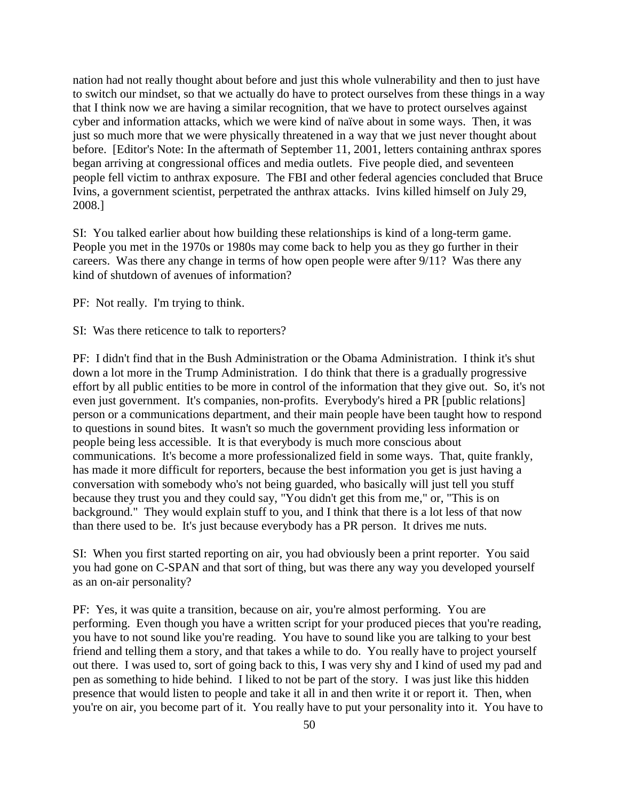nation had not really thought about before and just this whole vulnerability and then to just have to switch our mindset, so that we actually do have to protect ourselves from these things in a way that I think now we are having a similar recognition, that we have to protect ourselves against cyber and information attacks, which we were kind of naïve about in some ways. Then, it was just so much more that we were physically threatened in a way that we just never thought about before. [Editor's Note: In the aftermath of September 11, 2001, letters containing anthrax spores began arriving at congressional offices and media outlets. Five people died, and seventeen people fell victim to anthrax exposure. The FBI and other federal agencies concluded that Bruce Ivins, a government scientist, perpetrated the anthrax attacks. Ivins killed himself on July 29, 2008.]

SI: You talked earlier about how building these relationships is kind of a long-term game. People you met in the 1970s or 1980s may come back to help you as they go further in their careers. Was there any change in terms of how open people were after 9/11? Was there any kind of shutdown of avenues of information?

PF: Not really. I'm trying to think.

SI: Was there reticence to talk to reporters?

PF: I didn't find that in the Bush Administration or the Obama Administration. I think it's shut down a lot more in the Trump Administration. I do think that there is a gradually progressive effort by all public entities to be more in control of the information that they give out. So, it's not even just government. It's companies, non-profits. Everybody's hired a PR [public relations] person or a communications department, and their main people have been taught how to respond to questions in sound bites. It wasn't so much the government providing less information or people being less accessible. It is that everybody is much more conscious about communications. It's become a more professionalized field in some ways. That, quite frankly, has made it more difficult for reporters, because the best information you get is just having a conversation with somebody who's not being guarded, who basically will just tell you stuff because they trust you and they could say, "You didn't get this from me," or, "This is on background." They would explain stuff to you, and I think that there is a lot less of that now than there used to be. It's just because everybody has a PR person. It drives me nuts.

SI: When you first started reporting on air, you had obviously been a print reporter. You said you had gone on C-SPAN and that sort of thing, but was there any way you developed yourself as an on-air personality?

PF: Yes, it was quite a transition, because on air, you're almost performing. You are performing. Even though you have a written script for your produced pieces that you're reading, you have to not sound like you're reading. You have to sound like you are talking to your best friend and telling them a story, and that takes a while to do. You really have to project yourself out there. I was used to, sort of going back to this, I was very shy and I kind of used my pad and pen as something to hide behind. I liked to not be part of the story. I was just like this hidden presence that would listen to people and take it all in and then write it or report it. Then, when you're on air, you become part of it. You really have to put your personality into it. You have to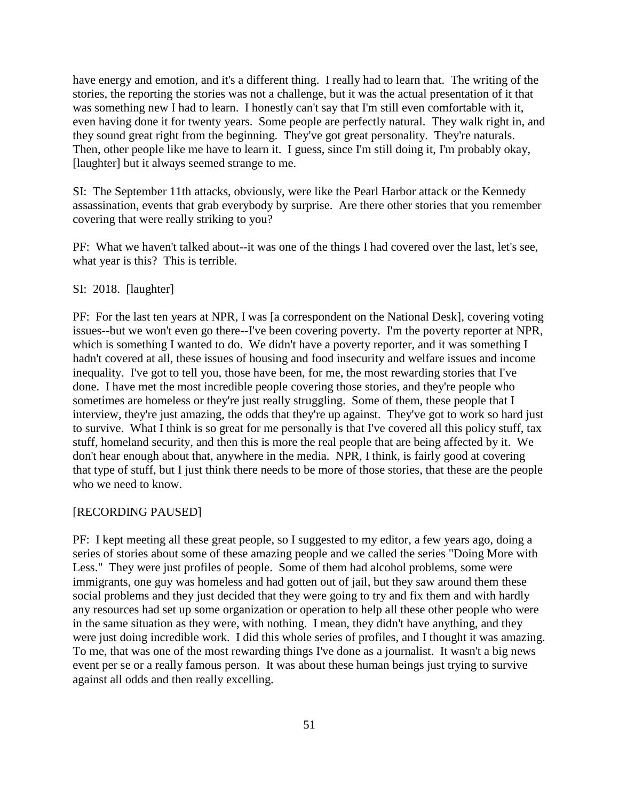have energy and emotion, and it's a different thing. I really had to learn that. The writing of the stories, the reporting the stories was not a challenge, but it was the actual presentation of it that was something new I had to learn. I honestly can't say that I'm still even comfortable with it, even having done it for twenty years. Some people are perfectly natural. They walk right in, and they sound great right from the beginning. They've got great personality. They're naturals. Then, other people like me have to learn it. I guess, since I'm still doing it, I'm probably okay, [laughter] but it always seemed strange to me.

SI: The September 11th attacks, obviously, were like the Pearl Harbor attack or the Kennedy assassination, events that grab everybody by surprise. Are there other stories that you remember covering that were really striking to you?

PF: What we haven't talked about--it was one of the things I had covered over the last, let's see, what year is this? This is terrible.

### SI: 2018. [laughter]

PF: For the last ten years at NPR, I was [a correspondent on the National Desk], covering voting issues--but we won't even go there--I've been covering poverty. I'm the poverty reporter at NPR, which is something I wanted to do. We didn't have a poverty reporter, and it was something I hadn't covered at all, these issues of housing and food insecurity and welfare issues and income inequality. I've got to tell you, those have been, for me, the most rewarding stories that I've done. I have met the most incredible people covering those stories, and they're people who sometimes are homeless or they're just really struggling. Some of them, these people that I interview, they're just amazing, the odds that they're up against. They've got to work so hard just to survive. What I think is so great for me personally is that I've covered all this policy stuff, tax stuff, homeland security, and then this is more the real people that are being affected by it. We don't hear enough about that, anywhere in the media. NPR, I think, is fairly good at covering that type of stuff, but I just think there needs to be more of those stories, that these are the people who we need to know.

### [RECORDING PAUSED]

PF: I kept meeting all these great people, so I suggested to my editor, a few years ago, doing a series of stories about some of these amazing people and we called the series "Doing More with Less." They were just profiles of people. Some of them had alcohol problems, some were immigrants, one guy was homeless and had gotten out of jail, but they saw around them these social problems and they just decided that they were going to try and fix them and with hardly any resources had set up some organization or operation to help all these other people who were in the same situation as they were, with nothing. I mean, they didn't have anything, and they were just doing incredible work. I did this whole series of profiles, and I thought it was amazing. To me, that was one of the most rewarding things I've done as a journalist. It wasn't a big news event per se or a really famous person. It was about these human beings just trying to survive against all odds and then really excelling.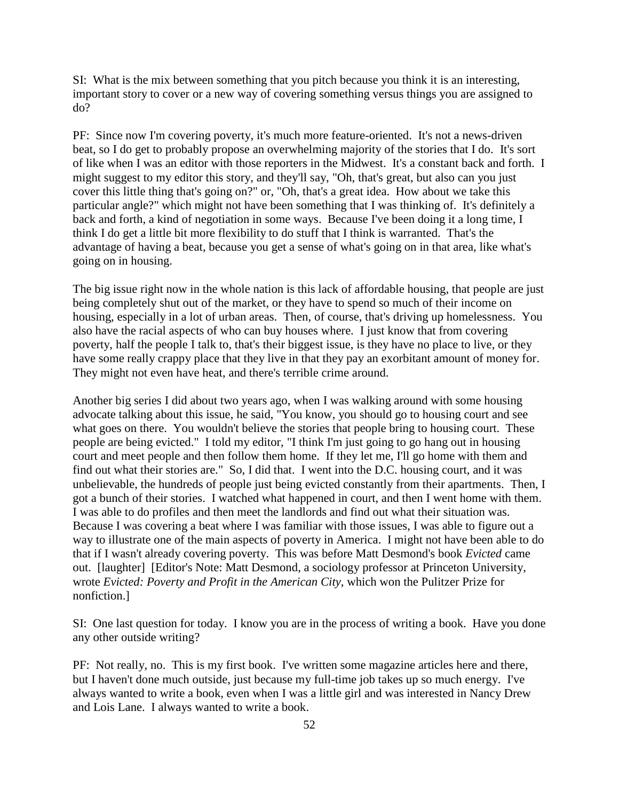SI: What is the mix between something that you pitch because you think it is an interesting, important story to cover or a new way of covering something versus things you are assigned to do?

PF: Since now I'm covering poverty, it's much more feature-oriented. It's not a news-driven beat, so I do get to probably propose an overwhelming majority of the stories that I do. It's sort of like when I was an editor with those reporters in the Midwest. It's a constant back and forth. I might suggest to my editor this story, and they'll say, "Oh, that's great, but also can you just cover this little thing that's going on?" or, "Oh, that's a great idea. How about we take this particular angle?" which might not have been something that I was thinking of. It's definitely a back and forth, a kind of negotiation in some ways. Because I've been doing it a long time, I think I do get a little bit more flexibility to do stuff that I think is warranted. That's the advantage of having a beat, because you get a sense of what's going on in that area, like what's going on in housing.

The big issue right now in the whole nation is this lack of affordable housing, that people are just being completely shut out of the market, or they have to spend so much of their income on housing, especially in a lot of urban areas. Then, of course, that's driving up homelessness. You also have the racial aspects of who can buy houses where. I just know that from covering poverty, half the people I talk to, that's their biggest issue, is they have no place to live, or they have some really crappy place that they live in that they pay an exorbitant amount of money for. They might not even have heat, and there's terrible crime around.

Another big series I did about two years ago, when I was walking around with some housing advocate talking about this issue, he said, "You know, you should go to housing court and see what goes on there. You wouldn't believe the stories that people bring to housing court. These people are being evicted." I told my editor, "I think I'm just going to go hang out in housing court and meet people and then follow them home. If they let me, I'll go home with them and find out what their stories are." So, I did that. I went into the D.C. housing court, and it was unbelievable, the hundreds of people just being evicted constantly from their apartments. Then, I got a bunch of their stories. I watched what happened in court, and then I went home with them. I was able to do profiles and then meet the landlords and find out what their situation was. Because I was covering a beat where I was familiar with those issues, I was able to figure out a way to illustrate one of the main aspects of poverty in America. I might not have been able to do that if I wasn't already covering poverty. This was before Matt Desmond's book *Evicted* came out. [laughter] [Editor's Note: Matt Desmond, a sociology professor at Princeton University, wrote *Evicted: Poverty and Profit in the American City*, which won the Pulitzer Prize for nonfiction.]

SI: One last question for today. I know you are in the process of writing a book. Have you done any other outside writing?

PF: Not really, no. This is my first book. I've written some magazine articles here and there, but I haven't done much outside, just because my full-time job takes up so much energy. I've always wanted to write a book, even when I was a little girl and was interested in Nancy Drew and Lois Lane. I always wanted to write a book.